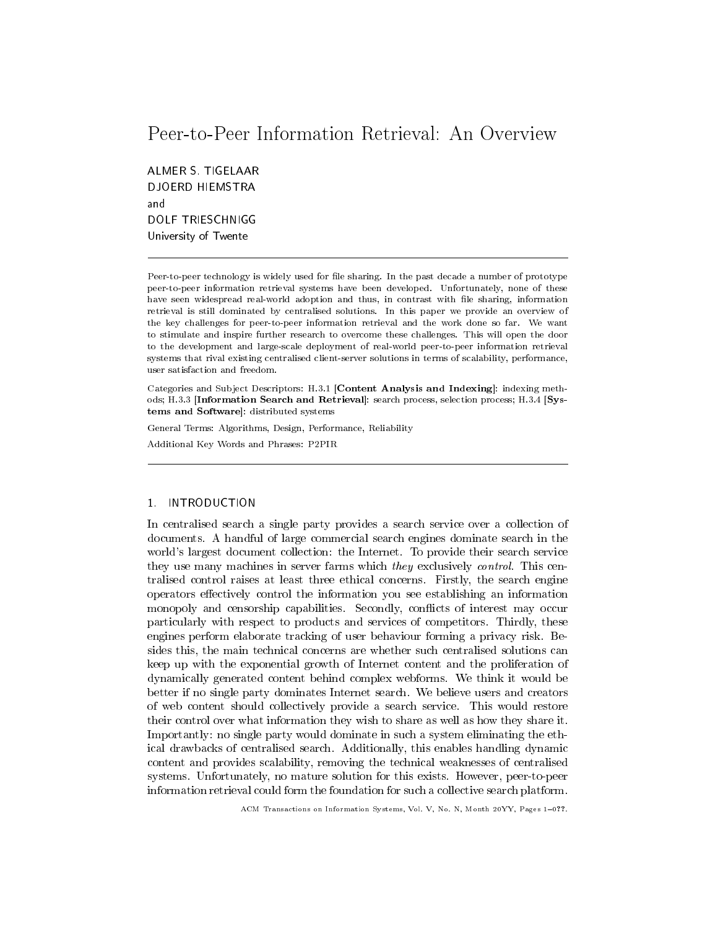# Peer-to-Peer Information Retrieval: An Overview

ALMER S. TIGELAAR DJOERD HIEMSTRA and DOLF TRIESCHNIGG University of Twente

Peer-to-peer technology is widely used for file sharing. In the past decade a number of prototype peer-to-peer information retrieval systems have been developed. Unfortunately, none of these have seen widespread real-world adoption and thus, in contrast with file sharing, information retrieval is still dominated by centralised solutions. In this paper we provide an overview of the key challenges for peer-to-peer information retrieval and the work done so far. We want to stimulate and inspire further research to overcome these challenges. This will open the door to the development and large-scale deployment of real-world peer-to-peer information retrieval systems that rival existing centralised client-server solutions in terms of scalability, performance, user satisfaction and freedom.

Categories and Subject Descriptors: H.3.1 [Content Analysis and Indexing]: indexing methods; H.3.3 [Information Search and Retrieval]: search process, selection process; H.3.4 [Systems and Software]: distributed systems

General Terms: Algorithms, Design, Performance, Reliability

Additional Key Words and Phrases: P2PIR

# 1. INTRODUCTION

In centralised search a single party provides a search service over a collection of documents. A handful of large commercial search engines dominate search in the world's largest document collection: the Internet. To provide their search service they use many machines in server farms which they exclusively control. This centralised control raises at least three ethical concerns. Firstly, the search engine operators effectively control the information you see establishing an information monopoly and censorship capabilities. Secondly, conflicts of interest may occur particularly with respect to products and services of competitors. Thirdly, these engines perform elaborate tracking of user behaviour forming a privacy risk. Besides this, the main technical concerns are whether such centralised solutions can keep up with the exponential growth of Internet content and the proliferation of dynamically generated content behind complex webforms. We think it would be better if no single party dominates Internet search. We believe users and creators of web content should collectively provide a search service. This would restore their control over what information they wish to share as well as how they share it. Importantly: no single party would dominate in such a system eliminating the ethical drawbacks of centralised search. Additionally, this enables handling dynamic content and provides scalability, removing the technical weaknesses of centralised systems. Unfortunately, no mature solution for this exists. However, peer-to-peer information retrieval could form the foundation for such a collective search platform.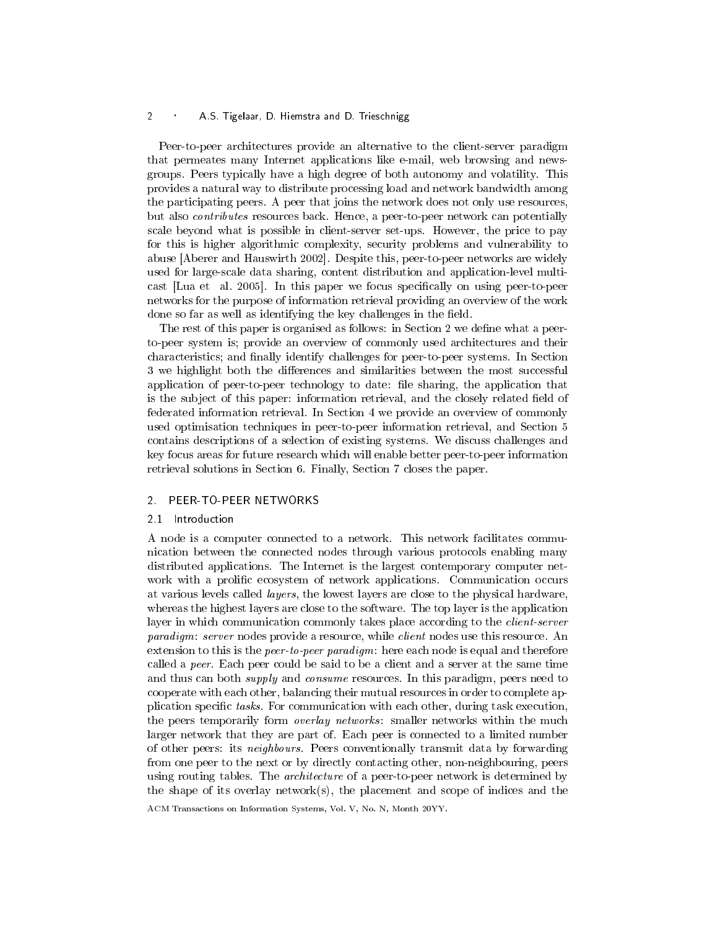Peer-to-peer architectures provide an alternative to the client-server paradigm that permeates many Internet applications like e-mail, web browsing and newsgroups. Peers typically have a high degree of both autonomy and volatility. This provides a natural way to distribute processing load and network bandwidth among the participating peers. A peer that joins the network does not only use resources, but also contributes resources back. Hence, a peer-to-peer network can potentially scale beyond what is possible in client-server set-ups. However, the price to pay for this is higher algorithmic complexity, security problems and vulnerability to abuse [Aberer and Hauswirth 2002]. Despite this, peer-to-peer networks are widely used for large-scale data sharing, content distribution and application-level multicast [Lua et al. 2005]. In this paper we focus specically on using peer-to-peer networks for the purpose of information retrieval providing an overview of the work done so far as well as identifying the key challenges in the field.

The rest of this paper is organised as follows: in Section 2 we define what a peerto-peer system is; provide an overview of commonly used architectures and their characteristics; and finally identify challenges for peer-to-peer systems. In Section 3 we highlight both the differences and similarities between the most successful application of peer-to-peer technology to date: file sharing, the application that is the subject of this paper: information retrieval, and the closely related field of federated information retrieval. In Section 4 we provide an overview of commonly used optimisation techniques in peer-to-peer information retrieval, and Section 5 contains descriptions of a selection of existing systems. We discuss challenges and key focus areas for future research which will enable better peer-to-peer information retrieval solutions in Section 6. Finally, Section 7 closes the paper.

## 2. PEER-TO-PEER NETWORKS

#### 2.1 Introduction

A node is a computer connected to a network. This network facilitates communication between the connected nodes through various protocols enabling many distributed applications. The Internet is the largest contemporary computer network with a prolific ecosystem of network applications. Communication occurs at various levels called layers, the lowest layers are close to the physical hardware, whereas the highest layers are close to the software. The top layer is the application layer in which communication commonly takes place according to the *client-server* paradigm: server nodes provide a resource, while client nodes use this resource. An extension to this is the *peer-to-peer paradigm*: here each node is equal and therefore called a peer. Each peer could be said to be a client and a server at the same time and thus can both supply and consume resources. In this paradigm, peers need to cooperate with each other, balancing their mutual resources in order to complete application specific tasks. For communication with each other, during task execution, the peers temporarily form overlay networks: smaller networks within the much larger network that they are part of. Each peer is connected to a limited number of other peers: its neighbours. Peers conventionally transmit data by forwarding from one peer to the next or by directly contacting other, non-neighbouring, peers using routing tables. The architecture of a peer-to-peer network is determined by the shape of its overlay network(s), the placement and scope of indices and the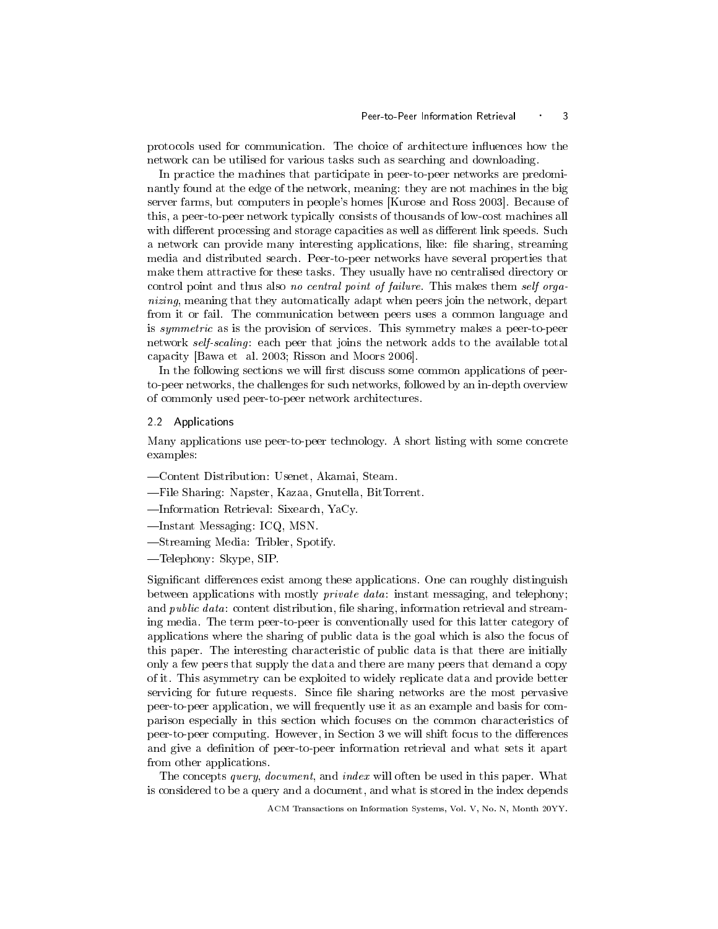protocols used for communication. The choice of architecture influences how the network can be utilised for various tasks such as searching and downloading.

In practice the machines that participate in peer-to-peer networks are predominantly found at the edge of the network, meaning: they are not machines in the big server farms, but computers in people's homes [Kurose and Ross 2003]. Because of this, a peer-to-peer network typically consists of thousands of low-cost machines all with different processing and storage capacities as well as different link speeds. Such a network can provide many interesting applications, like: file sharing, streaming media and distributed search. Peer-to-peer networks have several properties that make them attractive for these tasks. They usually have no centralised directory or control point and thus also no central point of failure. This makes them self organizing, meaning that they automatically adapt when peers join the network, depart from it or fail. The communication between peers uses a common language and is symmetric as is the provision of services. This symmetry makes a peer-to-peer network self-scaling: each peer that joins the network adds to the available total capacity [Bawa et al. 2003; Risson and Moors 2006].

In the following sections we will first discuss some common applications of peerto-peer networks, the challenges for such networks, followed by an in-depth overview of commonly used peer-to-peer network architectures.

#### 2.2 Applications

Many applications use peer-to-peer technology. A short listing with some concrete examples:

- Content Distribution: Usenet, Akamai, Steam.
- File Sharing: Napster, Kazaa, Gnutella, BitTorrent.
- Information Retrieval: Sixearch, YaCy.
- $-$ Instant Messaging: ICQ, MSN.
- -Streaming Media: Tribler, Spotify.
- Telephony: Skype, SIP.

Significant differences exist among these applications. One can roughly distinguish between applications with mostly private data: instant messaging, and telephony; and *public data*: content distribution, file sharing, information retrieval and streaming media. The term peer-to-peer is conventionally used for this latter category of applications where the sharing of public data is the goal which is also the focus of this paper. The interesting characteristic of public data is that there are initially only a few peers that supply the data and there are many peers that demand a copy of it. This asymmetry can be exploited to widely replicate data and provide better servicing for future requests. Since file sharing networks are the most pervasive peer-to-peer application, we will frequently use it as an example and basis for comparison especially in this section which focuses on the common characteristics of peer-to-peer computing. However, in Section 3 we will shift focus to the differences and give a definition of peer-to-peer information retrieval and what sets it apart from other applications.

The concepts *query, document*, and *index* will often be used in this paper. What is considered to be a query and a document, and what is stored in the index depends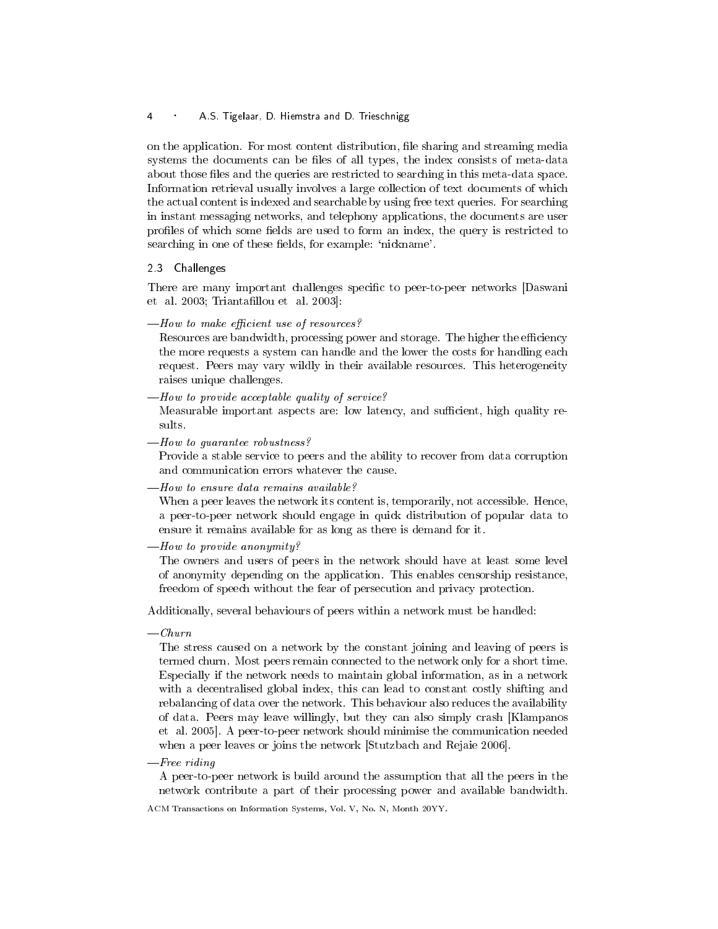on the application. For most content distribution, file sharing and streaming media systems the documents can be files of all types, the index consists of meta-data about those files and the queries are restricted to searching in this meta-data space. Information retrieval usually involves a large collection of text documents of which the actual content is indexed and searchable by using free text queries. For searching in instant messaging networks, and telephony applications, the documents are user profiles of which some fields are used to form an index, the query is restricted to searching in one of these fields, for example: 'nickname'.

## 2.3 Challenges

There are many important challenges specific to peer-to-peer networks [Daswani] et al. 2003; Triantafillou et al. 2003]:

 $-How to make efficient use of resources?$ 

Resources are bandwidth, processing power and storage. The higher the efficiency the more requests a system can handle and the lower the costs for handling each request. Peers may vary wildly in their available resources. This heterogeneity raises unique challenges.

How to provide acceptable quality of service?

Measurable important aspects are: low latency, and sufficient, high quality results.

How to guarantee robustness?

Provide a stable service to peers and the ability to recover from data corruption and communication errors whatever the cause.

How to ensure data remains available?

When a peer leaves the network its content is, temporarily, not accessible. Hence, a peer-to-peer network should engage in quick distribution of popular data to ensure it remains available for as long as there is demand for it.

How to provide anonymity?

The owners and users of peers in the network should have at least some level of anonymity depending on the application. This enables censorship resistance, freedom of speech without the fear of persecution and privacy protection.

Additionally, several behaviours of peers within a network must be handled:

 $-Churn$ 

The stress caused on a network by the constant joining and leaving of peers is termed churn. Most peers remain connected to the network only for a short time. Especially if the network needs to maintain global information, as in a network with a decentralised global index, this can lead to constant costly shifting and rebalancing of data over the network. This behaviour also reduces the availability of data. Peers may leave willingly, but they can also simply crash [Klampanos et al. 2005]. A peer-to-peer network should minimise the communication needed when a peer leaves or joins the network [Stutzbach and Rejaie 2006].

 $-$ *Free riding* 

A peer-to-peer network is build around the assumption that all the peers in the network contribute a part of their processing power and available bandwidth.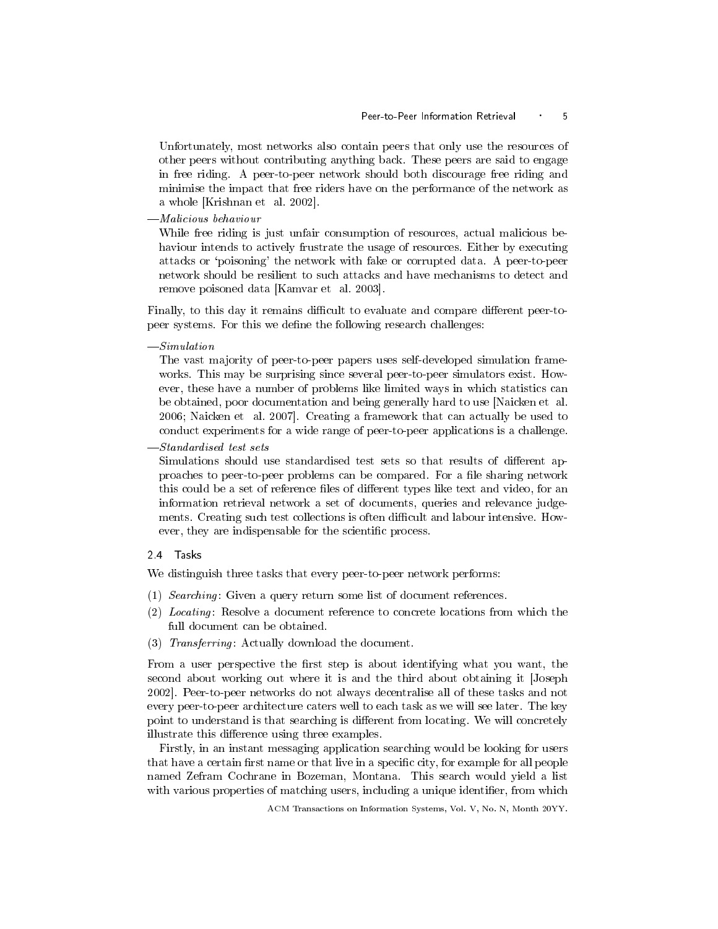Unfortunately, most networks also contain peers that only use the resources of other peers without contributing anything back. These peers are said to engage in free riding. A peer-to-peer network should both discourage free riding and minimise the impact that free riders have on the performance of the network as a whole [Krishnan et al. 2002].

Malicious behaviour

While free riding is just unfair consumption of resources, actual malicious behaviour intends to actively frustrate the usage of resources. Either by executing attacks or `poisoning' the network with fake or corrupted data. A peer-to-peer network should be resilient to such attacks and have mechanisms to detect and remove poisoned data [Kamvar et al. 2003].

Finally, to this day it remains difficult to evaluate and compare different peer-topeer systems. For this we define the following research challenges:

 $-Simulation$ 

The vast majority of peer-to-peer papers uses self-developed simulation frameworks. This may be surprising since several peer-to-peer simulators exist. However, these have a number of problems like limited ways in which statistics can be obtained, poor documentation and being generally hard to use [Naicken et al. 2006; Naicken et al. 2007]. Creating a framework that can actually be used to conduct experiments for a wide range of peer-to-peer applications is a challenge.

Standardised test sets

Simulations should use standardised test sets so that results of different approaches to peer-to-peer problems can be compared. For a file sharing network this could be a set of reference files of different types like text and video, for an information retrieval network a set of documents, queries and relevance judgements. Creating such test collections is often difficult and labour intensive. However, they are indispensable for the scientific process.

# 2.4 Tasks

We distinguish three tasks that every peer-to-peer network performs:

- (1) Searching: Given a query return some list of document references.
- (2) Locating: Resolve a document reference to concrete locations from which the full document can be obtained.
- (3) Transferring: Actually download the document.

From a user perspective the first step is about identifying what you want, the second about working out where it is and the third about obtaining it [Joseph 2002]. Peer-to-peer networks do not always decentralise all of these tasks and not every peer-to-peer architecture caters well to each task as we will see later. The key point to understand is that searching is different from locating. We will concretely illustrate this difference using three examples.

Firstly, in an instant messaging application searching would be looking for users that have a certain first name or that live in a specific city, for example for all people named Zefram Cochrane in Bozeman, Montana. This search would yield a list with various properties of matching users, including a unique identifier, from which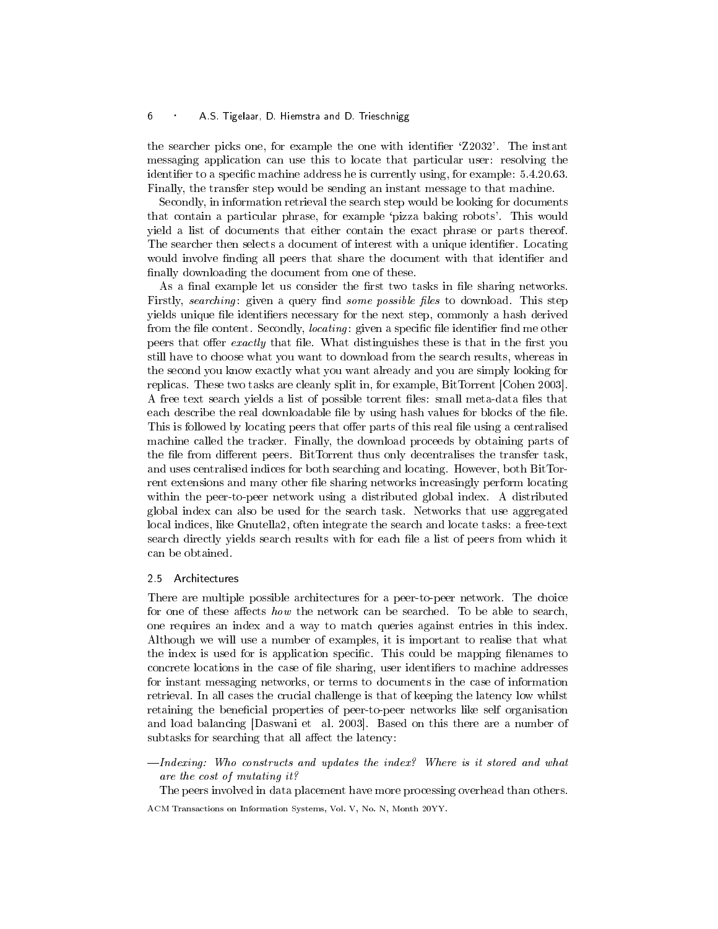the searcher picks one, for example the one with identifier  $Z2032'$ . The instant messaging application can use this to locate that particular user: resolving the identifier to a specific machine address he is currently using, for example:  $5.4.20.63$ . Finally, the transfer step would be sending an instant message to that machine.

Secondly, in information retrieval the search step would be looking for documents that contain a particular phrase, for example `pizza baking robots'. This would yield a list of documents that either contain the exact phrase or parts thereof. The searcher then selects a document of interest with a unique identifier. Locating would involve finding all peers that share the document with that identifier and finally downloading the document from one of these.

As a final example let us consider the first two tasks in file sharing networks. Firstly, *searching*: given a query find *some possible files* to download. This step yields unique file identifiers necessary for the next step, commonly a hash derived from the file content. Secondly, *locating*: given a specific file identifier find me other peers that offer *exactly* that file. What distinguishes these is that in the first you still have to choose what you want to download from the search results, whereas in the second you know exactly what you want already and you are simply looking for replicas. These two tasks are cleanly split in, for example, BitTorrent [Cohen 2003]. A free text search yields a list of possible torrent files: small meta-data files that each describe the real downloadable file by using hash values for blocks of the file. This is followed by locating peers that offer parts of this real file using a centralised machine called the tracker. Finally, the download proceeds by obtaining parts of the file from different peers. BitTorrent thus only decentralises the transfer task, and uses centralised indices for both searching and locating. However, both BitTorrent extensions and many other file sharing networks increasingly perform locating within the peer-to-peer network using a distributed global index. A distributed global index can also be used for the search task. Networks that use aggregated local indices, like Gnutella2, often integrate the search and locate tasks: a free-text search directly yields search results with for each file a list of peers from which it can be obtained.

## 2.5 Architectures

There are multiple possible architectures for a peer-to-peer network. The choice for one of these affects how the network can be searched. To be able to search, one requires an index and a way to match queries against entries in this index. Although we will use a number of examples, it is important to realise that what the index is used for is application specific. This could be mapping filenames to concrete locations in the case of file sharing, user identifiers to machine addresses for instant messaging networks, or terms to documents in the case of information retrieval. In all cases the crucial challenge is that of keeping the latency low whilst retaining the beneficial properties of peer-to-peer networks like self organisation and load balancing [Daswani et al. 2003]. Based on this there are a number of subtasks for searching that all affect the latency:

 $-$ Indexing: Who constructs and updates the index? Where is it stored and what are the cost of mutating it?

The peers involved in data placement have more processing overhead than others.

ACM Transactions on Information Systems, Vol. V, No. N, Month 20YY.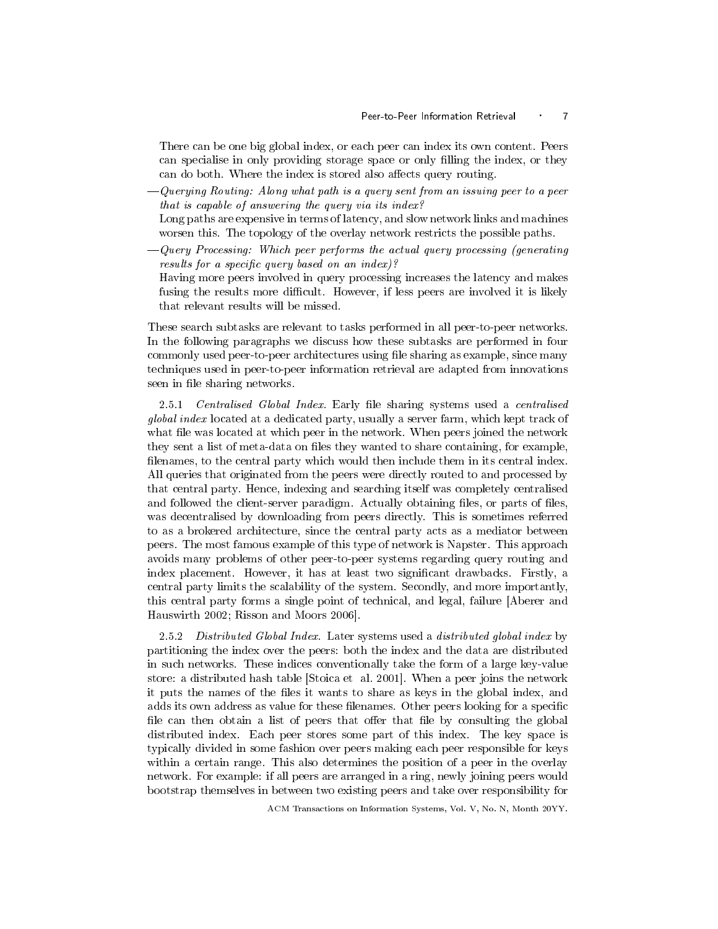There can be one big global index, or each peer can index its own content. Peers can specialise in only providing storage space or only filling the index, or they can do both. Where the index is stored also affects query routing.

Querying Routing: Along what path is a query sent from an issuing peer to a peer that is capable of answering the query via its index?

Long paths are expensive in terms of latency, and slow network links and machines worsen this. The topology of the overlay network restricts the possible paths.

 $\sim$  Query Processing: Which peer performs the actual query processing (generating results for a specific query based on an index)?

Having more peers involved in query processing increases the latency and makes fusing the results more difficult. However, if less peers are involved it is likely that relevant results will be missed.

These search subtasks are relevant to tasks performed in all peer-to-peer networks. In the following paragraphs we discuss how these subtasks are performed in four commonly used peer-to-peer architectures using file sharing as example, since many techniques used in peer-to-peer information retrieval are adapted from innovations seen in file sharing networks.

2.5.1 Centralised Global Index. Early file sharing systems used a centralised global index located at a dedicated party, usually a server farm, which kept track of what file was located at which peer in the network. When peers joined the network they sent a list of meta-data on files they wanted to share containing, for example, filenames, to the central party which would then include them in its central index. All queries that originated from the peers were directly routed to and processed by that central party. Hence, indexing and searching itself was completely centralised and followed the client-server paradigm. Actually obtaining files, or parts of files, was decentralised by downloading from peers directly. This is sometimes referred to as a brokered architecture, since the central party acts as a mediator between peers. The most famous example of this type of network is Napster. This approach avoids many problems of other peer-to-peer systems regarding query routing and index placement. However, it has at least two significant drawbacks. Firstly, a central party limits the scalability of the system. Secondly, and more importantly, this central party forms a single point of technical, and legal, failure [Aberer and Hauswirth 2002; Risson and Moors 2006].

2.5.2 Distributed Global Index. Later systems used a distributed global index by partitioning the index over the peers: both the index and the data are distributed in such networks. These indices conventionally take the form of a large key-value store: a distributed hash table [Stoica et al. 2001]. When a peer joins the network it puts the names of the files it wants to share as keys in the global index, and adds its own address as value for these filenames. Other peers looking for a specific file can then obtain a list of peers that offer that file by consulting the global distributed index. Each peer stores some part of this index. The key space is typically divided in some fashion over peers making each peer responsible for keys within a certain range. This also determines the position of a peer in the overlay network. For example: if all peers are arranged in a ring, newly joining peers would bootstrap themselves in between two existing peers and take over responsibility for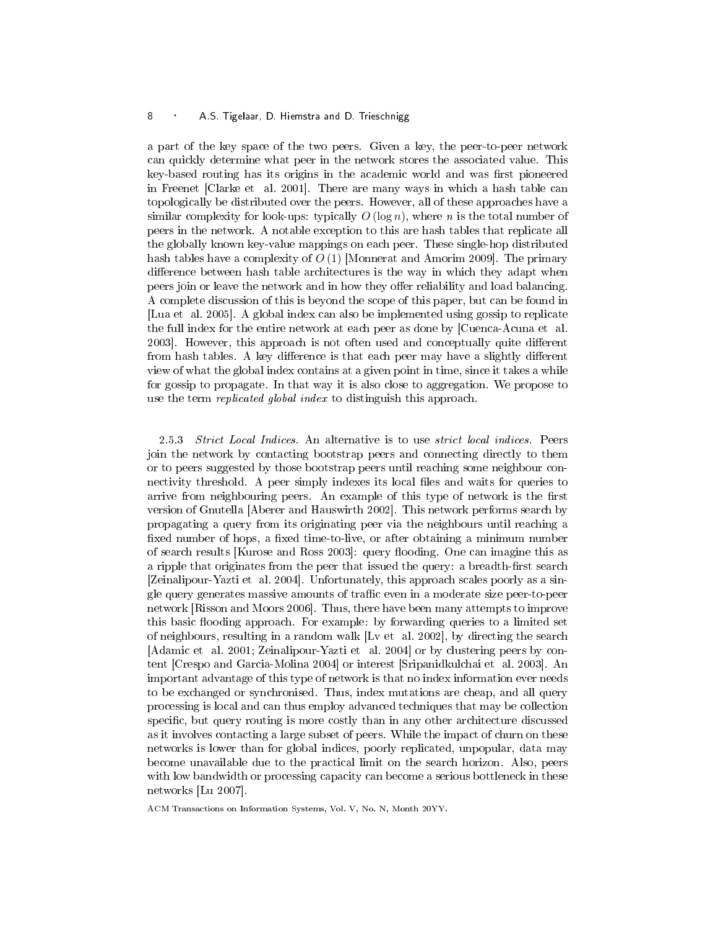a part of the key space of the two peers. Given a key, the peer-to-peer network can quickly determine what peer in the network stores the associated value. This key-based routing has its origins in the academic world and was first pioneered in Freenet [Clarke et al. 2001]. There are many ways in which a hash table can topologically be distributed over the peers. However, all of these approaches have a similar complexity for look-ups: typically  $O(\log n)$ , where n is the total number of peers in the network. A notable exception to this are hash tables that replicate all the globally known key-value mappings on each peer. These single-hop distributed hash tables have a complexity of  $O(1)$  [Monnerat and Amorim 2009]. The primary difference between hash table architectures is the way in which they adapt when peers join or leave the network and in how they offer reliability and load balancing. A complete discussion of this is beyond the scope of this paper, but can be found in [Lua et al. 2005]. A global index can also be implemented using gossip to replicate the full index for the entire network at each peer as done by [Cuenca-Acuna et al. 2003. However, this approach is not often used and conceptually quite different from hash tables. A key difference is that each peer may have a slightly different view of what the global index contains at a given point in time, since it takes a while for gossip to propagate. In that way it is also close to aggregation. We propose to use the term replicated global index to distinguish this approach.

2.5.3 Strict Local Indices. An alternative is to use strict local indices. Peers join the network by contacting bootstrap peers and connecting directly to them or to peers suggested by those bootstrap peers until reaching some neighbour connectivity threshold. A peer simply indexes its local files and waits for queries to arrive from neighbouring peers. An example of this type of network is the first version of Gnutella [Aberer and Hauswirth 2002]. This network performs search by propagating a query from its originating peer via the neighbours until reaching a fixed number of hops, a fixed time-to-live, or after obtaining a minimum number of search results [Kurose and Ross 2003]: query flooding. One can imagine this as a ripple that originates from the peer that issued the query: a breadth-first search [Zeinalipour-Yazti et al. 2004]. Unfortunately, this approach scales poorly as a single query generates massive amounts of traffic even in a moderate size peer-to-peer network [Risson and Moors 2006]. Thus, there have been many attempts to improve this basic flooding approach. For example: by forwarding queries to a limited set of neighbours, resulting in a random walk [Lv et al. 2002], by directing the search [Adamic et al. 2001; Zeinalipour-Yazti et al. 2004] or by clustering peers by content [Crespo and Garcia-Molina 2004] or interest [Sripanidkulchai et al. 2003]. An important advantage of this type of network is that no index information ever needs to be exchanged or synchronised. Thus, index mutations are cheap, and all query processing is local and can thus employ advanced techniques that may be collection specific, but query routing is more costly than in any other architecture discussed as it involves contacting a large subset of peers. While the impact of churn on these networks is lower than for global indices, poorly replicated, unpopular, data may become unavailable due to the practical limit on the search horizon. Also, peers with low bandwidth or processing capacity can become a serious bottleneck in these networks [Lu 2007].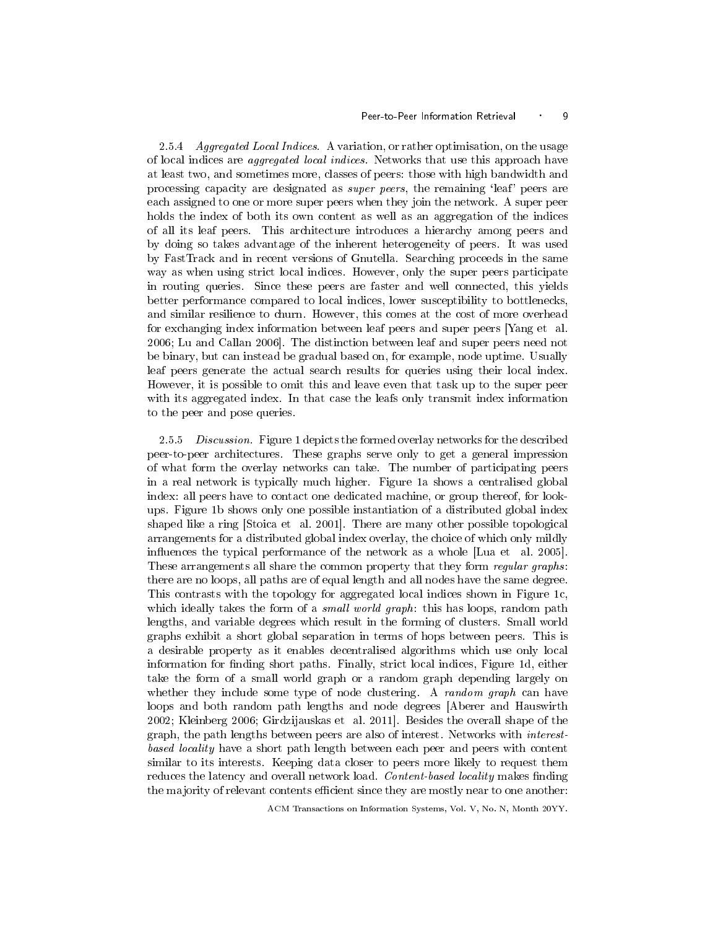#### Peer-to-Peer Information Retrieval . 9

2.5.4 Aggregated Local Indices. A variation, or rather optimisation, on the usage of local indices are aggregated local indices. Networks that use this approach have at least two, and sometimes more, classes of peers: those with high bandwidth and processing capacity are designated as *super peers*, the remaining 'leaf' peers are each assigned to one or more super peers when they join the network. A super peer holds the index of both its own content as well as an aggregation of the indices of all its leaf peers. This architecture introduces a hierarchy among peers and by doing so takes advantage of the inherent heterogeneity of peers. It was used by FastTrack and in recent versions of Gnutella. Searching proceeds in the same way as when using strict local indices. However, only the super peers participate in routing queries. Since these peers are faster and well connected, this yields better performance compared to local indices, lower susceptibility to bottlenecks, and similar resilience to churn. However, this comes at the cost of more overhead for exchanging index information between leaf peers and super peers [Yang et al. 2006; Lu and Callan 2006]. The distinction between leaf and super peers need not be binary, but can instead be gradual based on, for example, node uptime. Usually leaf peers generate the actual search results for queries using their local index. However, it is possible to omit this and leave even that task up to the super peer with its aggregated index. In that case the leafs only transmit index information to the peer and pose queries.

2.5.5 Discussion. Figure 1 depicts the formed overlay networks for the described peer-to-peer architectures. These graphs serve only to get a general impression of what form the overlay networks can take. The number of participating peers in a real network is typically much higher. Figure 1a shows a centralised global index: all peers have to contact one dedicated machine, or group thereof, for lookups. Figure 1b shows only one possible instantiation of a distributed global index shaped like a ring [Stoica et al. 2001]. There are many other possible topological arrangements for a distributed global index overlay, the choice of which only mildly influences the typical performance of the network as a whole [Lua et al. 2005]. These arrangements all share the common property that they form *regular graphs*: there are no loops, all paths are of equal length and all nodes have the same degree. This contrasts with the topology for aggregated local indices shown in Figure 1c, which ideally takes the form of a *small world graph*: this has loops, random path lengths, and variable degrees which result in the forming of clusters. Small world graphs exhibit a short global separation in terms of hops between peers. This is a desirable property as it enables decentralised algorithms which use only local information for finding short paths. Finally, strict local indices, Figure 1d, either take the form of a small world graph or a random graph depending largely on whether they include some type of node clustering. A random graph can have loops and both random path lengths and node degrees [Aberer and Hauswirth 2002; Kleinberg 2006; Girdzijauskas et al. 2011]. Besides the overall shape of the graph, the path lengths between peers are also of interest. Networks with interestbased locality have a short path length between each peer and peers with content similar to its interests. Keeping data closer to peers more likely to request them reduces the latency and overall network load. Content-based locality makes finding the majority of relevant contents efficient since they are mostly near to one another: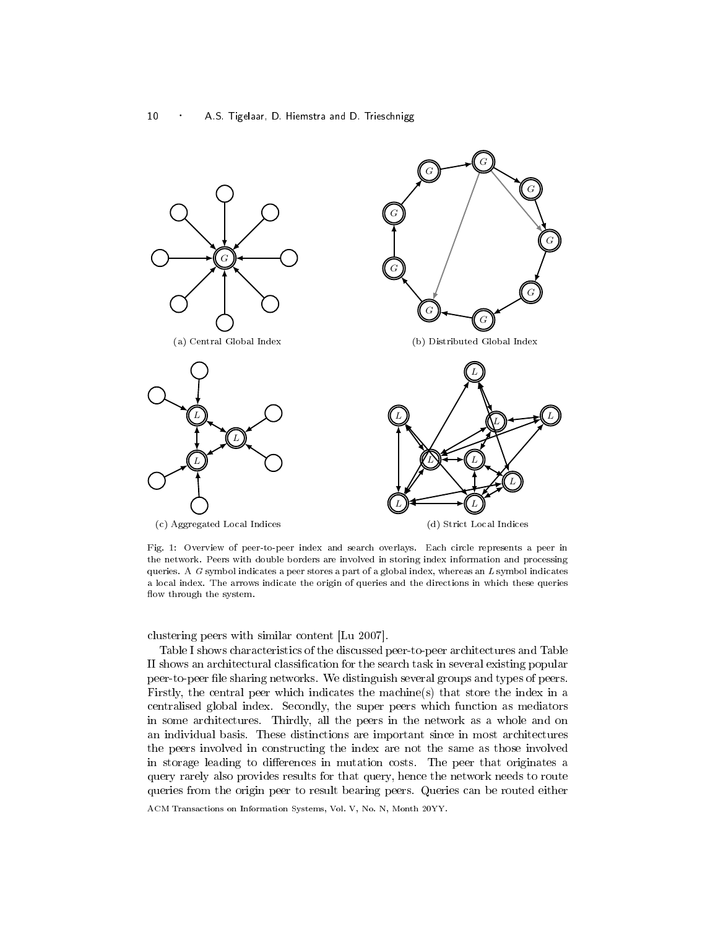

Fig. 1: Overview of peer-to-peer index and search overlays. Each circle represents a peer in the network. Peers with double borders are involved in storing index information and processing queries. A  $G$  symbol indicates a peer stores a part of a global index, whereas an  $L$  symbol indicates a local index. The arrows indicate the origin of queries and the directions in which these queries flow through the system.

clustering peers with similar content [Lu 2007].

Table I shows characteristics of the discussed peer-to-peer architectures and Table II shows an architectural classification for the search task in several existing popular peer-to-peer le sharing networks. We distinguish several groups and types of peers. Firstly, the central peer which indicates the machine(s) that store the index in a centralised global index. Secondly, the super peers which function as mediators in some architectures. Thirdly, all the peers in the network as a whole and on an individual basis. These distinctions are important since in most architectures the peers involved in constructing the index are not the same as those involved in storage leading to differences in mutation costs. The peer that originates a query rarely also provides results for that query, hence the network needs to route queries from the origin peer to result bearing peers. Queries can be routed either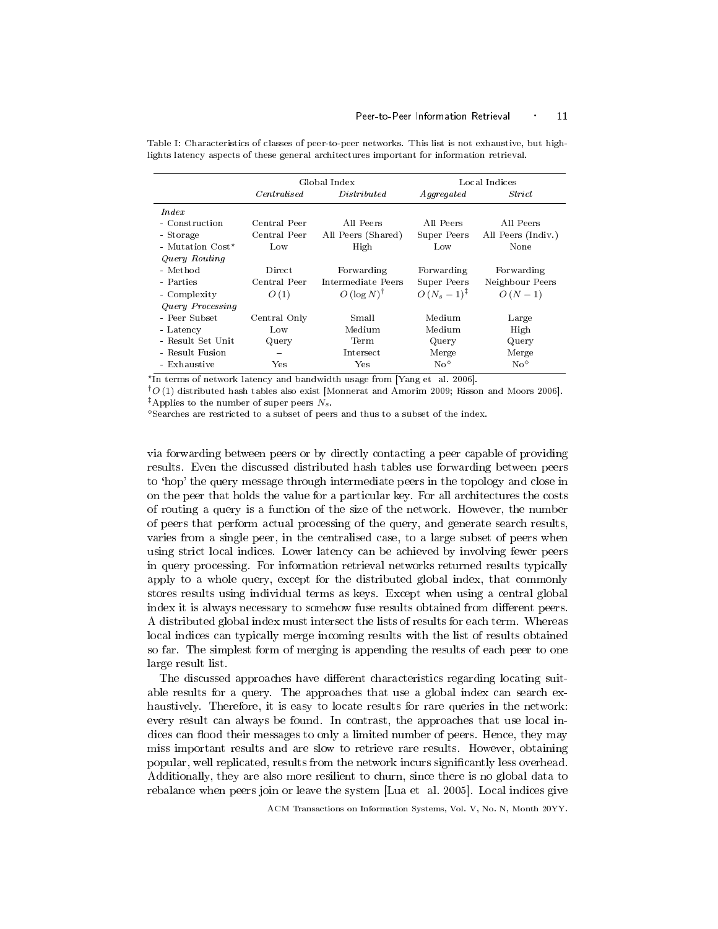|                           | Global Index       |                       | Local Indices         |                    |
|---------------------------|--------------------|-----------------------|-----------------------|--------------------|
|                           | <i>Centralised</i> | Distributed           | Aggregated            | <i>Strict</i>      |
| Index                     |                    |                       |                       |                    |
| - Construction            | Central Peer       | All Peers             | All Peers             | All Peers          |
| - Storage                 | Central Peer       | All Peers (Shared)    | Super Peers           | All Peers (Indiv.) |
| - Mutation $Cost^{\star}$ | Low                | High                  | Low                   | None               |
| Query Routing             |                    |                       |                       |                    |
| - Method                  | Direct             | Forwarding            | Forwarding            | Forwarding         |
| - Parties                 | Central Peer       | Intermediate Peers    | Super Peers           | Neighbour Peers    |
| - Complexity              | O(1)               | $O(\log N)^{\dagger}$ | $O(N_s-1)^{\ddagger}$ | $O(N-1)$           |
| Query Processing          |                    |                       |                       |                    |
| - Peer Subset             | Central Only       | Small                 | Medium                | Large              |
| - Latency                 | Low                | Medium                | Medium                | High               |
| - Result Set Unit         | Query              | Term                  | Query                 | Query              |
| - Result Fusion           |                    | <b>Intersect</b>      | Merge                 | Merge              |
| - Exhaustive              | Yes                | Yes                   | $No^{\diamond}$       | $No^{\diamond}$    |

Table I: Characteristics of classes of peer-to-peer networks. This list is not exhaustive, but highlights latency aspects of these general architectures important for information retrieval.

\*In terms of network latency and bandwidth usage from [Yang et al. 2006].

 $\dagger$ O (1) distributed hash tables also exist [Monnerat and Amorim 2009; Risson and Moors 2006]. <sup>‡</sup>Applies to the number of super peers  $N_s$ .

Searches are restricted to a subset of peers and thus to a subset of the index.

via forwarding between peers or by directly contacting a peer capable of providing results. Even the discussed distributed hash tables use forwarding between peers to `hop' the query message through intermediate peers in the topology and close in on the peer that holds the value for a particular key. For all architectures the costs of routing a query is a function of the size of the network. However, the number of peers that perform actual processing of the query, and generate search results, varies from a single peer, in the centralised case, to a large subset of peers when using strict local indices. Lower latency can be achieved by involving fewer peers in query processing. For information retrieval networks returned results typically apply to a whole query, except for the distributed global index, that commonly stores results using individual terms as keys. Except when using a central global index it is always necessary to somehow fuse results obtained from different peers. A distributed global index must intersect the lists of results for each term. Whereas local indices can typically merge incoming results with the list of results obtained so far. The simplest form of merging is appending the results of each peer to one large result list.

The discussed approaches have different characteristics regarding locating suitable results for a query. The approaches that use a global index can search exhaustively. Therefore, it is easy to locate results for rare queries in the network: every result can always be found. In contrast, the approaches that use local indices can flood their messages to only a limited number of peers. Hence, they may miss important results and are slow to retrieve rare results. However, obtaining popular, well replicated, results from the network incurs signicantly less overhead. Additionally, they are also more resilient to churn, since there is no global data to rebalance when peers join or leave the system [Lua et al. 2005]. Local indices give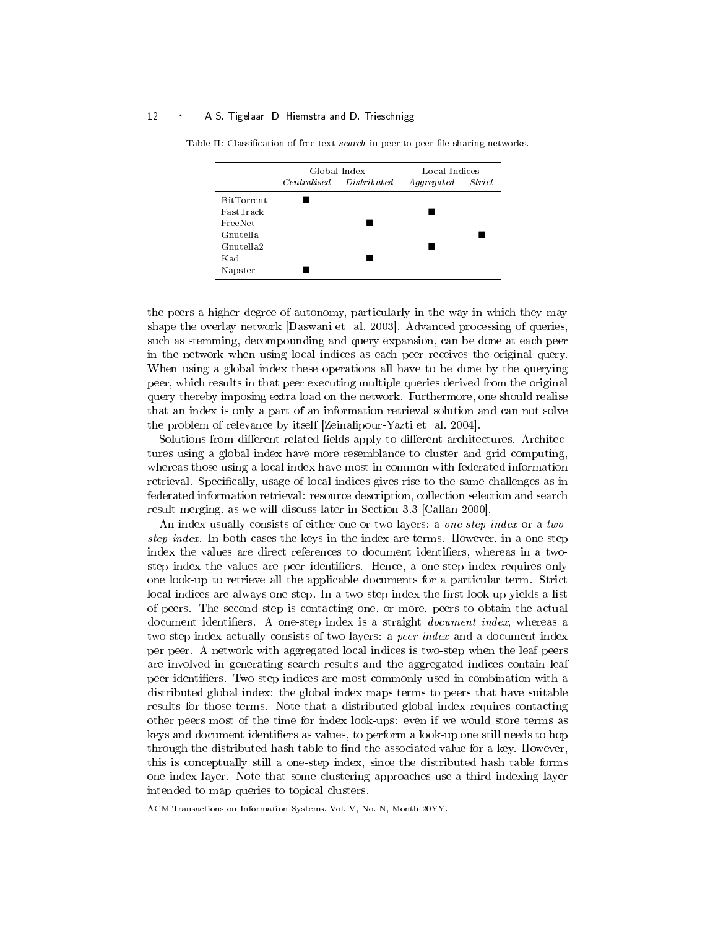|                    | Global Index |                         | Local Indices |               |
|--------------------|--------------|-------------------------|---------------|---------------|
|                    |              | Centralised Distributed | Aggregated    | <i>Strict</i> |
| <b>Bit Torrent</b> |              |                         |               |               |
| Fast Track         |              |                         |               |               |
| FreeNet            |              |                         |               |               |
| Gnutella           |              |                         |               |               |
| Gnutella2          |              |                         |               |               |
| Kad                |              |                         |               |               |
| Napster            |              |                         |               |               |

Table II: Classification of free text *search* in peer-to-peer file sharing networks.

the peers a higher degree of autonomy, particularly in the way in which they may shape the overlay network [Daswani et al. 2003]. Advanced processing of queries, such as stemming, decompounding and query expansion, can be done at each peer in the network when using local indices as each peer receives the original query. When using a global index these operations all have to be done by the querying peer, which results in that peer executing multiple queries derived from the original query thereby imposing extra load on the network. Furthermore, one should realise that an index is only a part of an information retrieval solution and can not solve the problem of relevance by itself [Zeinalipour-Yazti et al. 2004].

Solutions from different related fields apply to different architectures. Architectures using a global index have more resemblance to cluster and grid computing, whereas those using a local index have most in common with federated information retrieval. Specifically, usage of local indices gives rise to the same challenges as in federated information retrieval: resource description, collection selection and search result merging, as we will discuss later in Section 3.3 [Callan 2000].

An index usually consists of either one or two layers: a *one-step index* or a twostep index. In both cases the keys in the index are terms. However, in a one-step index the values are direct references to document identifiers, whereas in a twostep index the values are peer identifiers. Hence, a one-step index requires only one look-up to retrieve all the applicable documents for a particular term. Strict local indices are always one-step. In a two-step index the first look-up yields a list of peers. The second step is contacting one, or more, peers to obtain the actual document identifiers. A one-step index is a straight *document index*, whereas a two-step index actually consists of two layers: a *peer index* and a document index per peer. A network with aggregated local indices is two-step when the leaf peers are involved in generating search results and the aggregated indices contain leaf peer identifiers. Two-step indices are most commonly used in combination with a distributed global index: the global index maps terms to peers that have suitable results for those terms. Note that a distributed global index requires contacting other peers most of the time for index look-ups: even if we would store terms as keys and document identifiers as values, to perform a look-up one still needs to hop through the distributed hash table to find the associated value for a key. However, this is conceptually still a one-step index, since the distributed hash table forms one index layer. Note that some clustering approaches use a third indexing layer intended to map queries to topical clusters.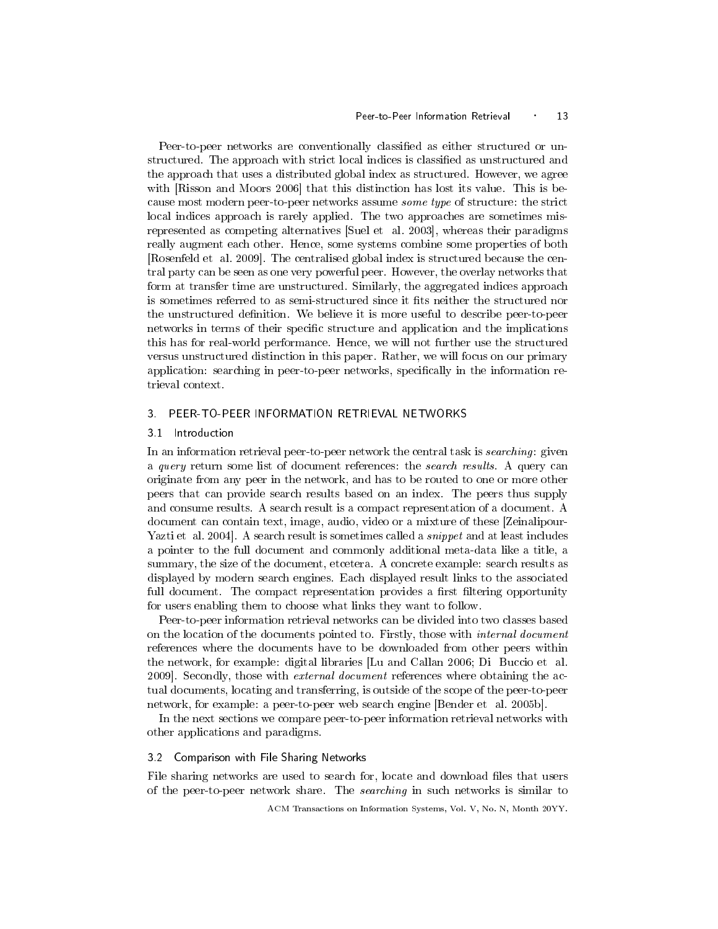## Peer-to-Peer Information Retrieval . 13

Peer-to-peer networks are conventionally classified as either structured or unstructured. The approach with strict local indices is classied as unstructured and the approach that uses a distributed global index as structured. However, we agree with [Risson and Moors 2006] that this distinction has lost its value. This is because most modern peer-to-peer networks assume some type of structure: the strict local indices approach is rarely applied. The two approaches are sometimes misrepresented as competing alternatives [Suel et al. 2003], whereas their paradigms really augment each other. Hence, some systems combine some properties of both [Rosenfeld et al. 2009]. The centralised global index is structured because the central party can be seen as one very powerful peer. However, the overlay networks that form at transfer time are unstructured. Similarly, the aggregated indices approach is sometimes referred to as semi-structured since it fits neither the structured nor the unstructured definition. We believe it is more useful to describe peer-to-peer networks in terms of their specific structure and application and the implications this has for real-world performance. Hence, we will not further use the structured versus unstructured distinction in this paper. Rather, we will focus on our primary application: searching in peer-to-peer networks, specically in the information retrieval context.

# 3. PEER-TO-PEER INFORMATION RETRIEVAL NETWORKS

# 3.1 Introduction

In an information retrieval peer-to-peer network the central task is searching: given a query return some list of document references: the search results. A query can originate from any peer in the network, and has to be routed to one or more other peers that can provide search results based on an index. The peers thus supply and consume results. A search result is a compact representation of a document. A document can contain text, image, audio, video or a mixture of these [Zeinalipour-Yazti et al. 2004]. A search result is sometimes called a *snippet* and at least includes a pointer to the full document and commonly additional meta-data like a title, a summary, the size of the document, etcetera. A concrete example: search results as displayed by modern search engines. Each displayed result links to the associated full document. The compact representation provides a first filtering opportunity for users enabling them to choose what links they want to follow.

Peer-to-peer information retrieval networks can be divided into two classes based on the location of the documents pointed to. Firstly, those with internal document references where the documents have to be downloaded from other peers within the network, for example: digital libraries [Lu and Callan 2006; Di Buccio et al. 2009]. Secondly, those with *external document* references where obtaining the actual documents, locating and transferring, is outside of the scope of the peer-to-peer network, for example: a peer-to-peer web search engine [Bender et al. 2005b].

In the next sections we compare peer-to-peer information retrieval networks with other applications and paradigms.

#### 3.2 Comparison with File Sharing Networks

File sharing networks are used to search for, locate and download files that users of the peer-to-peer network share. The searching in such networks is similar to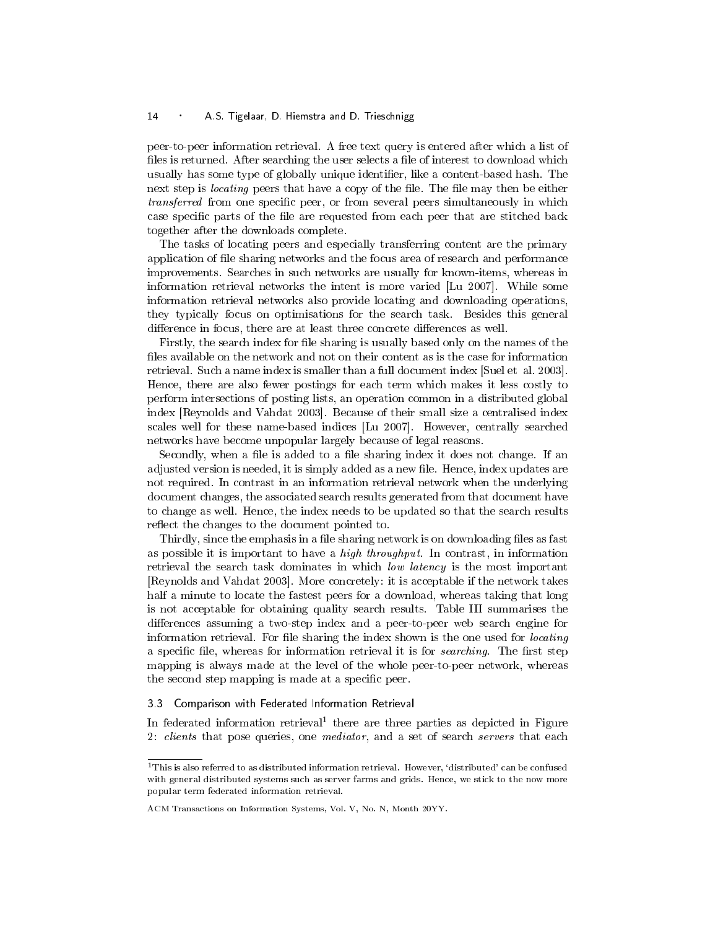peer-to-peer information retrieval. A free text query is entered after which a list of files is returned. After searching the user selects a file of interest to download which usually has some type of globally unique identifier, like a content-based hash. The next step is *locating* peers that have a copy of the file. The file may then be either transferred from one specific peer, or from several peers simultaneously in which case specific parts of the file are requested from each peer that are stitched back together after the downloads complete.

The tasks of locating peers and especially transferring content are the primary application of le sharing networks and the focus area of research and performance improvements. Searches in such networks are usually for known-items, whereas in information retrieval networks the intent is more varied [Lu 2007]. While some information retrieval networks also provide locating and downloading operations, they typically focus on optimisations for the search task. Besides this general difference in focus, there are at least three concrete differences as well.

Firstly, the search index for file sharing is usually based only on the names of the files available on the network and not on their content as is the case for information retrieval. Such a name index is smaller than a full document index [Suel et al. 2003]. Hence, there are also fewer postings for each term which makes it less costly to perform intersections of posting lists, an operation common in a distributed global index [Reynolds and Vahdat 2003]. Because of their small size a centralised index scales well for these name-based indices [Lu 2007]. However, centrally searched networks have become unpopular largely because of legal reasons.

Secondly, when a file is added to a file sharing index it does not change. If an adjusted version is needed, it is simply added as a new file. Hence, index updates are not required. In contrast in an information retrieval network when the underlying document changes, the associated search results generated from that document have to change as well. Hence, the index needs to be updated so that the search results reflect the changes to the document pointed to.

Thirdly, since the emphasis in a file sharing network is on downloading files as fast as possible it is important to have a high throughput. In contrast, in information retrieval the search task dominates in which low latency is the most important [Reynolds and Vahdat 2003]. More concretely: it is acceptable if the network takes half a minute to locate the fastest peers for a download, whereas taking that long is not acceptable for obtaining quality search results. Table III summarises the differences assuming a two-step index and a peer-to-peer web search engine for information retrieval. For file sharing the index shown is the one used for *locating* a specific file, whereas for information retrieval it is for searching. The first step mapping is always made at the level of the whole peer-to-peer network, whereas the second step mapping is made at a specific peer.

## 3.3 Comparison with Federated Information Retrieval

In federated information retrieval<sup>1</sup> there are three parties as depicted in Figure 2: *clients* that pose queries, one *mediator*, and a set of search servers that each

 $1$ This is also referred to as distributed information retrieval. However, 'distributed' can be confused with general distributed systems such as server farms and grids. Hence, we stick to the now more popular term federated information retrieval.

ACM Transactions on Information Systems, Vol. V, No. N, Month 20YY.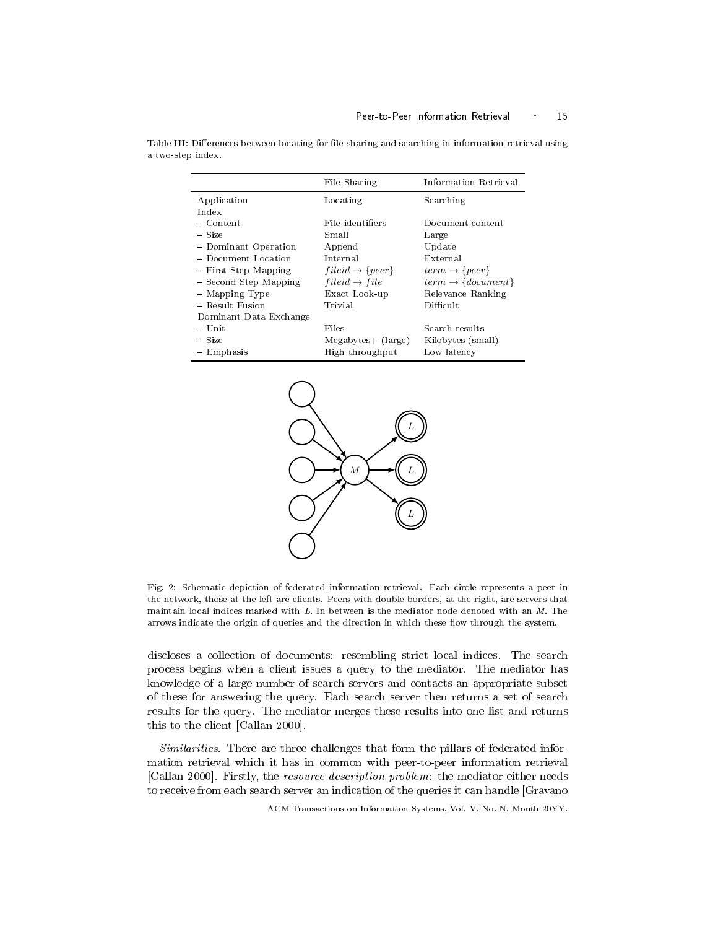|                        | File Sharing                  | Information Retrieval           |
|------------------------|-------------------------------|---------------------------------|
| Application            | Locating                      | Searching                       |
| Index                  |                               |                                 |
| $-$ Content            | File identifiers              | Document content                |
| – Size                 | Small                         | Large                           |
| - Dominant Operation   | Append                        | Update                          |
| - Document Location    | Internal                      | External                        |
| - First Step Mapping   | $fileid \rightarrow \{peer\}$ | $term \rightarrow \{peer\}$     |
| - Second Step Mapping  | $fileid \rightarrow file$     | $term \rightarrow \{document\}$ |
| - Mapping Type         | Exact Look-up                 | Relevance Ranking               |
| – Result Fusion        | Trivial                       | Difficult                       |
| Dominant Data Exchange |                               |                                 |
| – Unit                 | Files                         | Search results                  |
| – Size                 | $Megabytes+ (large)$          | Kilobytes (small)               |
| - Emphasis             | High throughput               | Low latency                     |

Table III: Differences between locating for file sharing and searching in information retrieval using a two-step index.



Fig. 2: Schematic depiction of federated information retrieval. Each circle represents a peer in the network, those at the left are clients. Peers with double borders, at the right, are servers that maintain local indices marked with L. In between is the mediator node denoted with an M. The arrows indicate the origin of queries and the direction in which these flow through the system.

discloses a collection of documents: resembling strict local indices. The search process begins when a client issues a query to the mediator. The mediator has knowledge of a large number of search servers and contacts an appropriate subset of these for answering the query. Each search server then returns a set of search results for the query. The mediator merges these results into one list and returns this to the client [Callan 2000].

Similarities. There are three challenges that form the pillars of federated information retrieval which it has in common with peer-to-peer information retrieval [Callan 2000]. Firstly, the resource description problem: the mediator either needs to receive from each search server an indication of the queries it can handle [Gravano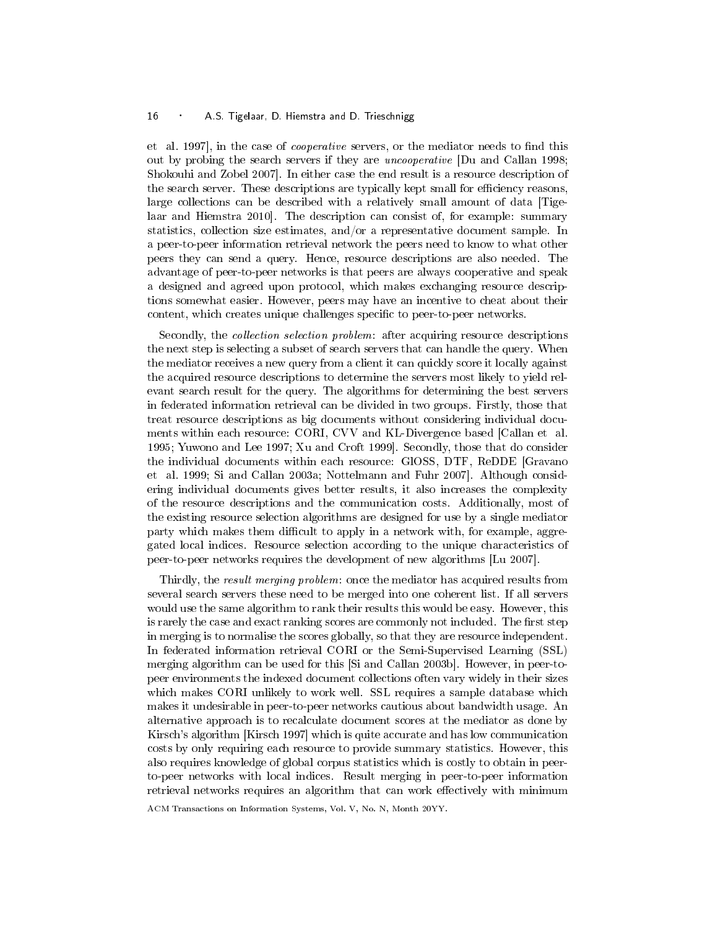et al. 1997, in the case of *cooperative* servers, or the mediator needs to find this out by probing the search servers if they are uncooperative [Du and Callan 1998; Shokouhi and Zobel 2007]. In either case the end result is a resource description of the search server. These descriptions are typically kept small for efficiency reasons, large collections can be described with a relatively small amount of data [Tigelaar and Hiemstra 2010]. The description can consist of, for example: summary statistics, collection size estimates, and/or a representative document sample. In a peer-to-peer information retrieval network the peers need to know to what other peers they can send a query. Hence, resource descriptions are also needed. The advantage of peer-to-peer networks is that peers are always cooperative and speak a designed and agreed upon protocol, which makes exchanging resource descriptions somewhat easier. However, peers may have an incentive to cheat about their content, which creates unique challenges specific to peer-to-peer networks.

Secondly, the *collection selection problem*: after acquiring resource descriptions the next step is selecting a subset of search servers that can handle the query. When the mediator receives a new query from a client it can quickly score it locally against the acquired resource descriptions to determine the servers most likely to yield relevant search result for the query. The algorithms for determining the best servers in federated information retrieval can be divided in two groups. Firstly, those that treat resource descriptions as big documents without considering individual documents within each resource: CORI, CVV and KL-Divergence based [Callan et al. 1995; Yuwono and Lee 1997; Xu and Croft 1999]. Secondly, those that do consider the individual documents within each resource: GlOSS, DTF, ReDDE [Gravano et al. 1999; Si and Callan 2003a; Nottelmann and Fuhr 2007]. Although considering individual documents gives better results, it also increases the complexity of the resource descriptions and the communication costs. Additionally, most of the existing resource selection algorithms are designed for use by a single mediator party which makes them difficult to apply in a network with, for example, aggregated local indices. Resource selection according to the unique characteristics of peer-to-peer networks requires the development of new algorithms [Lu 2007].

Thirdly, the result merging problem: once the mediator has acquired results from several search servers these need to be merged into one coherent list. If all servers would use the same algorithm to rank their results this would be easy. However, this is rarely the case and exact ranking scores are commonly not included. The first step in merging is to normalise the scores globally, so that they are resource independent. In federated information retrieval CORI or the Semi-Supervised Learning (SSL) merging algorithm can be used for this [Si and Callan 2003b]. However, in peer-topeer environments the indexed document collections often vary widely in their sizes which makes CORI unlikely to work well. SSL requires a sample database which makes it undesirable in peer-to-peer networks cautious about bandwidth usage. An alternative approach is to recalculate document scores at the mediator as done by Kirsch's algorithm [Kirsch 1997] which is quite accurate and has low communication costs by only requiring each resource to provide summary statistics. However, this also requires knowledge of global corpus statistics which is costly to obtain in peerto-peer networks with local indices. Result merging in peer-to-peer information retrieval networks requires an algorithm that can work effectively with minimum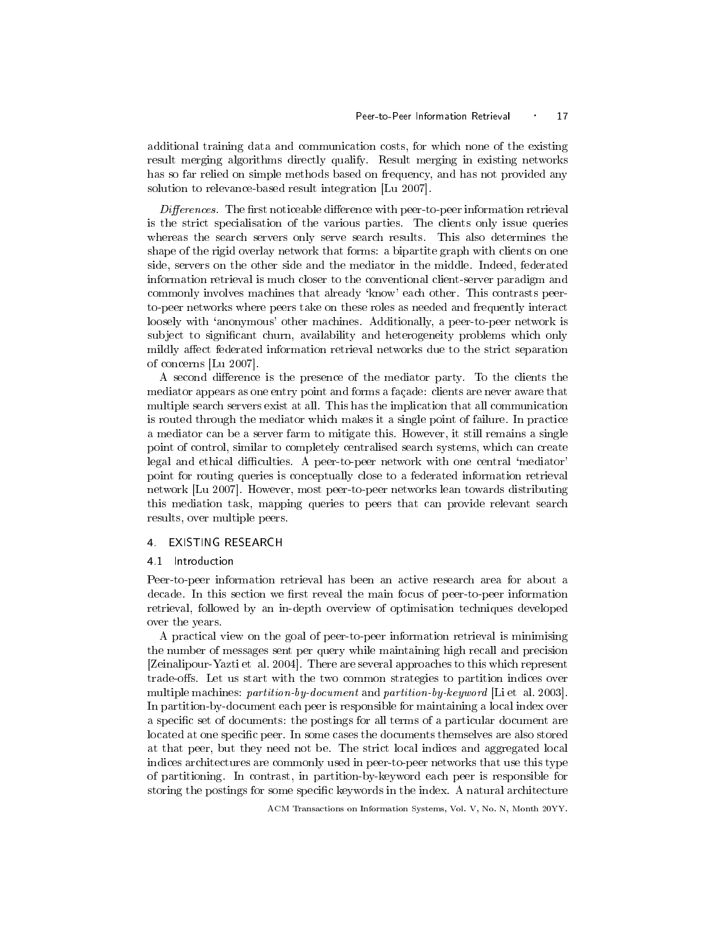additional training data and communication costs, for which none of the existing result merging algorithms directly qualify. Result merging in existing networks has so far relied on simple methods based on frequency, and has not provided any solution to relevance-based result integration [Lu 2007].

 $Differences.$  The first noticeable difference with peer-to-peer information retrieval is the strict specialisation of the various parties. The clients only issue queries whereas the search servers only serve search results. This also determines the shape of the rigid overlay network that forms: a bipartite graph with clients on one side, servers on the other side and the mediator in the middle. Indeed, federated information retrieval is much closer to the conventional client-server paradigm and commonly involves machines that already `know' each other. This contrasts peerto-peer networks where peers take on these roles as needed and frequently interact loosely with 'anonymous' other machines. Additionally, a peer-to-peer network is subject to significant churn, availability and heterogeneity problems which only mildly affect federated information retrieval networks due to the strict separation of concerns [Lu 2007].

A second difference is the presence of the mediator party. To the clients the mediator appears as one entry point and forms a façade: clients are never aware that multiple search servers exist at all. This has the implication that all communication is routed through the mediator which makes it a single point of failure. In practice a mediator can be a server farm to mitigate this. However, it still remains a single point of control, similar to completely centralised search systems, which can create legal and ethical difficulties. A peer-to-peer network with one central 'mediator' point for routing queries is conceptually close to a federated information retrieval network [Lu 2007]. However, most peer-to-peer networks lean towards distributing this mediation task, mapping queries to peers that can provide relevant search results, over multiple peers.

# 4. EXISTING RESEARCH

## 4.1 Introduction

Peer-to-peer information retrieval has been an active research area for about a decade. In this section we first reveal the main focus of peer-to-peer information retrieval, followed by an in-depth overview of optimisation techniques developed over the years.

A practical view on the goal of peer-to-peer information retrieval is minimising the number of messages sent per query while maintaining high recall and precision [Zeinalipour-Yazti et al. 2004]. There are several approaches to this which represent trade-offs. Let us start with the two common strategies to partition indices over multiple machines: partition-by-document and partition-by-keyword [Li et al. 2003]. In partition-by-document each peer is responsible for maintaining a local index over a specific set of documents: the postings for all terms of a particular document are located at one specific peer. In some cases the documents themselves are also stored at that peer, but they need not be. The strict local indices and aggregated local indices architectures are commonly used in peer-to-peer networks that use this type of partitioning. In contrast, in partition-by-keyword each peer is responsible for storing the postings for some specific keywords in the index. A natural architecture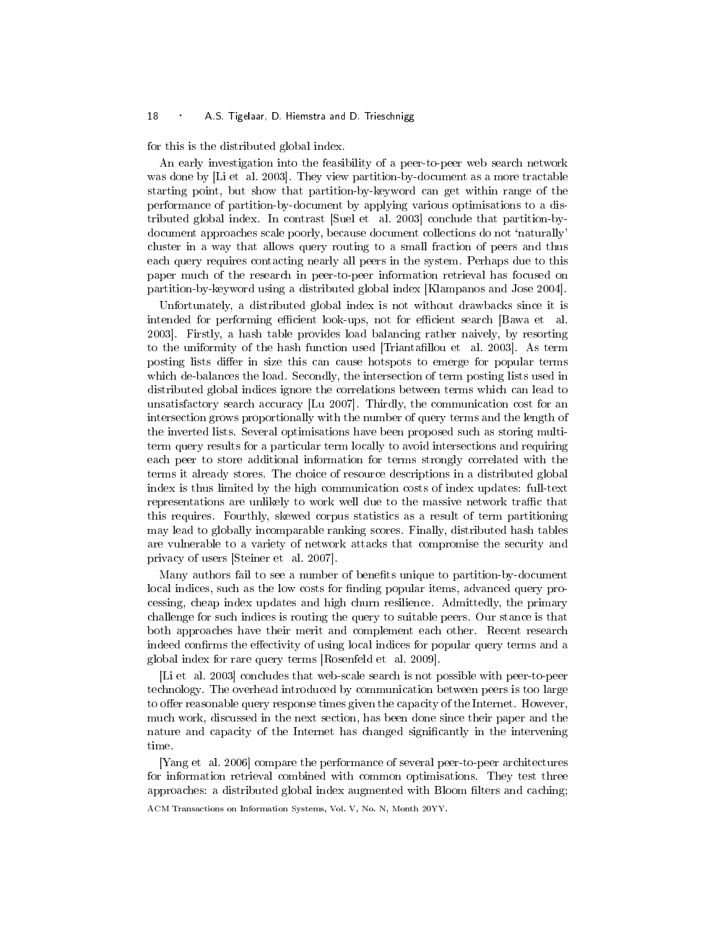for this is the distributed global index.

An early investigation into the feasibility of a peer-to-peer web search network was done by [Li et al. 2003]. They view partition-by-document as a more tractable starting point, but show that partition-by-keyword can get within range of the performance of partition-by-document by applying various optimisations to a distributed global index. In contrast [Suel et al. 2003] conclude that partition-bydocument approaches scale poorly, because document collections do not 'naturally' cluster in a way that allows query routing to a small fraction of peers and thus each query requires contacting nearly all peers in the system. Perhaps due to this paper much of the research in peer-to-peer information retrieval has focused on partition-by-keyword using a distributed global index [Klampanos and Jose 2004].

Unfortunately, a distributed global index is not without drawbacks since it is intended for performing efficient look-ups, not for efficient search [Bawa et al. 2003]. Firstly, a hash table provides load balancing rather naively, by resorting to the uniformity of the hash function used [Triantafillou et al. 2003]. As term posting lists differ in size this can cause hotspots to emerge for popular terms which de-balances the load. Secondly, the intersection of term posting lists used in distributed global indices ignore the correlations between terms which can lead to unsatisfactory search accuracy [Lu 2007]. Thirdly, the communication cost for an intersection grows proportionally with the number of query terms and the length of the inverted lists. Several optimisations have been proposed such as storing multiterm query results for a particular term locally to avoid intersections and requiring each peer to store additional information for terms strongly correlated with the terms it already stores. The choice of resource descriptions in a distributed global index is thus limited by the high communication costs of index updates: full-text representations are unlikely to work well due to the massive network traffic that this requires. Fourthly, skewed corpus statistics as a result of term partitioning may lead to globally incomparable ranking scores. Finally, distributed hash tables are vulnerable to a variety of network attacks that compromise the security and privacy of users [Steiner et al. 2007].

Many authors fail to see a number of benefits unique to partition-by-document local indices, such as the low costs for finding popular items, advanced query processing, cheap index updates and high churn resilience. Admittedly, the primary challenge for such indices is routing the query to suitable peers. Our stance is that both approaches have their merit and complement each other. Recent research indeed confirms the effectivity of using local indices for popular query terms and a global index for rare query terms [Rosenfeld et al. 2009].

[Li et al. 2003] concludes that web-scale search is not possible with peer-to-peer technology. The overhead introduced by communication between peers is too large to offer reasonable query response times given the capacity of the Internet. However, much work, discussed in the next section, has been done since their paper and the nature and capacity of the Internet has changed signicantly in the intervening time.

[Yang et al. 2006] compare the performance of several peer-to-peer architectures for information retrieval combined with common optimisations. They test three approaches: a distributed global index augmented with Bloom filters and caching;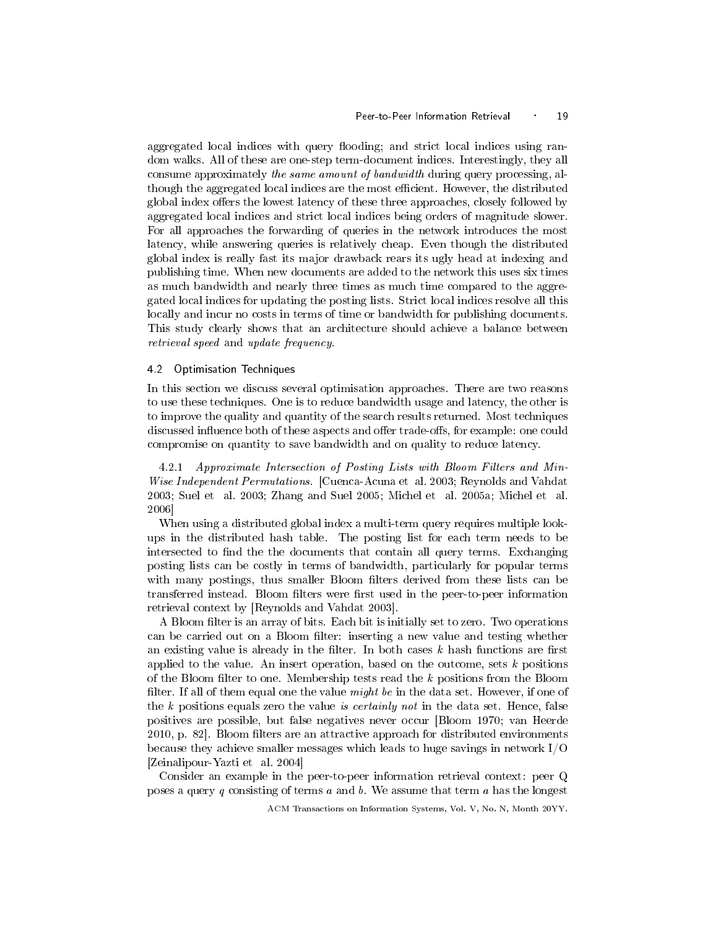aggregated local indices with query flooding; and strict local indices using random walks. All of these are one-step term-document indices. Interestingly, they all consume approximately the same amount of bandwidth during query processing, although the aggregated local indices are the most efficient. However, the distributed global index offers the lowest latency of these three approaches, closely followed by aggregated local indices and strict local indices being orders of magnitude slower. For all approaches the forwarding of queries in the network introduces the most latency, while answering queries is relatively cheap. Even though the distributed global index is really fast its major drawback rears its ugly head at indexing and publishing time. When new documents are added to the network this uses six times as much bandwidth and nearly three times as much time compared to the aggregated local indices for updating the posting lists. Strict local indices resolve all this locally and incur no costs in terms of time or bandwidth for publishing documents. This study clearly shows that an architecture should achieve a balance between retrieval speed and update frequency.

### 4.2 Optimisation Techniques

In this section we discuss several optimisation approaches. There are two reasons to use these techniques. One is to reduce bandwidth usage and latency, the other is to improve the quality and quantity of the search results returned. Most techniques discussed influence both of these aspects and offer trade-offs, for example: one could compromise on quantity to save bandwidth and on quality to reduce latency.

4.2.1 Approximate Intersection of Posting Lists with Bloom Filters and Min-Wise Independent Permutations. [Cuenca-Acuna et al. 2003; Reynolds and Vahdat 2003; Suel et al. 2003; Zhang and Suel 2005; Michel et al. 2005a; Michel et al. 2006]

When using a distributed global index a multi-term query requires multiple lookups in the distributed hash table. The posting list for each term needs to be intersected to find the the documents that contain all query terms. Exchanging posting lists can be costly in terms of bandwidth, particularly for popular terms with many postings, thus smaller Bloom filters derived from these lists can be transferred instead. Bloom filters were first used in the peer-to-peer information retrieval context by [Reynolds and Vahdat 2003].

A Bloom filter is an array of bits. Each bit is initially set to zero. Two operations can be carried out on a Bloom filter: inserting a new value and testing whether an existing value is already in the filter. In both cases  $k$  hash functions are first applied to the value. An insert operation, based on the outcome, sets  $k$  positions of the Bloom filter to one. Membership tests read the  $k$  positions from the Bloom filter. If all of them equal one the value *might be* in the data set. However, if one of the k positions equals zero the value is *certainly not* in the data set. Hence, false positives are possible, but false negatives never occur [Bloom 1970; van Heerde 2010, p. 82. Bloom filters are an attractive approach for distributed environments because they achieve smaller messages which leads to huge savings in network I/O [Zeinalipour-Yazti et al. 2004]

Consider an example in the peer-to-peer information retrieval context: peer Q poses a query q consisting of terms a and b. We assume that term a has the longest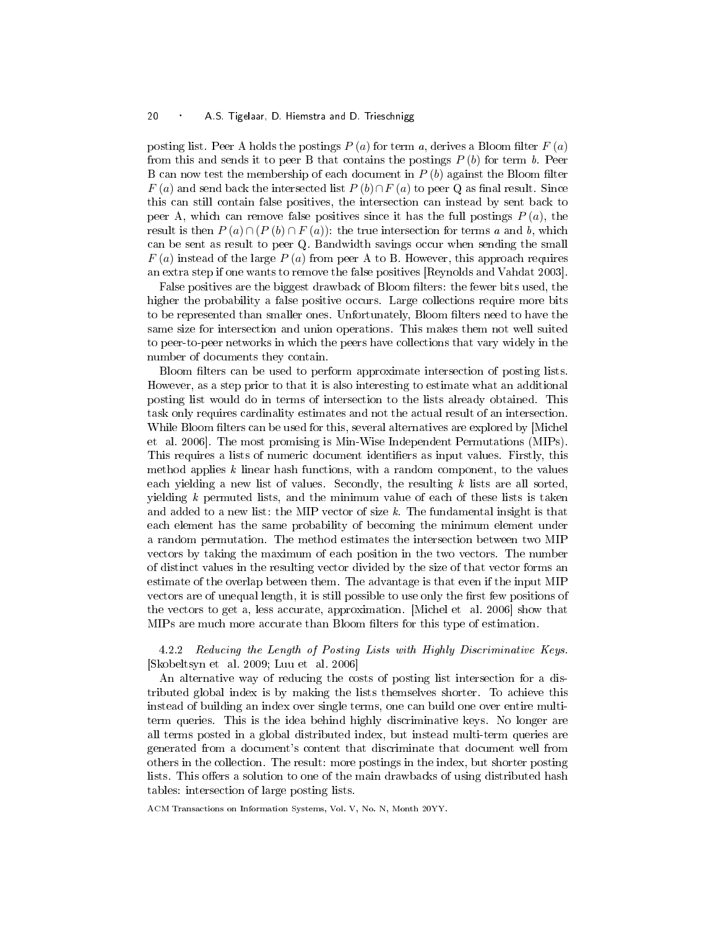posting list. Peer A holds the postings  $P(a)$  for term a, derives a Bloom filter  $F(a)$ from this and sends it to peer B that contains the postings  $P(b)$  for term b. Peer B can now test the membership of each document in  $P(b)$  against the Bloom filter  $F(a)$  and send back the intersected list  $P(b) \cap F(a)$  to peer Q as final result. Since this can still contain false positives, the intersection can instead by sent back to peer A, which can remove false positives since it has the full postings  $P(a)$ , the result is then  $P(a) \cap (P(b) \cap F(a))$ : the true intersection for terms a and b, which can be sent as result to peer Q. Bandwidth savings occur when sending the small  $F(a)$  instead of the large  $P(a)$  from peer A to B. However, this approach requires an extra step if one wants to remove the false positives [Reynolds and Vahdat 2003].

False positives are the biggest drawback of Bloom filters: the fewer bits used, the higher the probability a false positive occurs. Large collections require more bits to be represented than smaller ones. Unfortunately, Bloom filters need to have the same size for intersection and union operations. This makes them not well suited to peer-to-peer networks in which the peers have collections that vary widely in the number of documents they contain.

Bloom filters can be used to perform approximate intersection of posting lists. However, as a step prior to that it is also interesting to estimate what an additional posting list would do in terms of intersection to the lists already obtained. This task only requires cardinality estimates and not the actual result of an intersection. While Bloom filters can be used for this, several alternatives are explored by [Michel et al. 2006]. The most promising is Min-Wise Independent Permutations (MIPs). This requires a lists of numeric document identifiers as input values. Firstly, this method applies  $k$  linear hash functions, with a random component, to the values each yielding a new list of values. Secondly, the resulting  $k$  lists are all sorted, yielding k permuted lists, and the minimum value of each of these lists is taken and added to a new list: the MIP vector of size  $k$ . The fundamental insight is that each element has the same probability of becoming the minimum element under a random permutation. The method estimates the intersection between two MIP vectors by taking the maximum of each position in the two vectors. The number of distinct values in the resulting vector divided by the size of that vector forms an estimate of the overlap between them. The advantage is that even if the input MIP vectors are of unequal length, it is still possible to use only the first few positions of the vectors to get a, less accurate, approximation. [Michel et al. 2006] show that MIPs are much more accurate than Bloom filters for this type of estimation.

4.2.2 Reducing the Length of Posting Lists with Highly Discriminative Keys. [Skobeltsyn et al. 2009; Luu et al. 2006]

An alternative way of reducing the costs of posting list intersection for a distributed global index is by making the lists themselves shorter. To achieve this instead of building an index over single terms, one can build one over entire multiterm queries. This is the idea behind highly discriminative keys. No longer are all terms posted in a global distributed index, but instead multi-term queries are generated from a document's content that discriminate that document well from others in the collection. The result: more postings in the index, but shorter posting lists. This offers a solution to one of the main drawbacks of using distributed hash tables: intersection of large posting lists.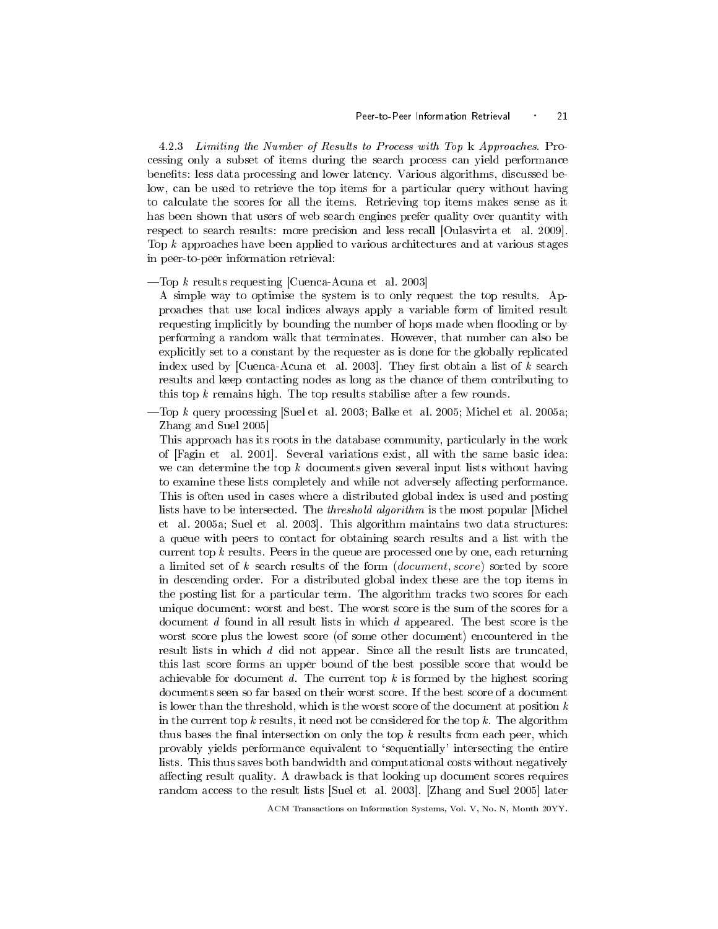4.2.3 Limiting the Number of Results to Process with Top k Approaches. Processing only a subset of items during the search process can yield performance benefits: less data processing and lower latency. Various algorithms, discussed below, can be used to retrieve the top items for a particular query without having to calculate the scores for all the items. Retrieving top items makes sense as it has been shown that users of web search engines prefer quality over quantity with respect to search results: more precision and less recall [Oulasvirta et al. 2009]. Top k approaches have been applied to various architectures and at various stages in peer-to-peer information retrieval:

## $\text{Top } k$  results requesting [Cuenca-Acuna et al. 2003]

A simple way to optimise the system is to only request the top results. Approaches that use local indices always apply a variable form of limited result requesting implicitly by bounding the number of hops made when flooding or by performing a random walk that terminates. However, that number can also be explicitly set to a constant by the requester as is done for the globally replicated index used by [Cuenca-Acuna et al. 2003]. They first obtain a list of  $k$  search results and keep contacting nodes as long as the chance of them contributing to this top  $k$  remains high. The top results stabilise after a few rounds.

Top k query processing [Suel et al. 2003; Balke et al. 2005; Michel et al. 2005a; Zhang and Suel 2005]

This approach has its roots in the database community, particularly in the work of [Fagin et al. 2001]. Several variations exist, all with the same basic idea: we can determine the top  $k$  documents given several input lists without having to examine these lists completely and while not adversely affecting performance. This is often used in cases where a distributed global index is used and posting lists have to be intersected. The threshold algorithm is the most popular [Michel et al. 2005a; Suel et al. 2003]. This algorithm maintains two data structures: a queue with peers to contact for obtaining search results and a list with the current top  $k$  results. Peers in the queue are processed one by one, each returning a limited set of k search results of the form (document, score) sorted by score in descending order. For a distributed global index these are the top items in the posting list for a particular term. The algorithm tracks two scores for each unique document: worst and best. The worst score is the sum of the scores for a document d found in all result lists in which d appeared. The best score is the worst score plus the lowest score (of some other document) encountered in the result lists in which d did not appear. Since all the result lists are truncated, this last score forms an upper bound of the best possible score that would be achievable for document d. The current top  $k$  is formed by the highest scoring documents seen so far based on their worst score. If the best score of a document is lower than the threshold, which is the worst score of the document at position  $k$ in the current top  $k$  results, it need not be considered for the top  $k$ . The algorithm thus bases the final intersection on only the top  $k$  results from each peer, which provably yields performance equivalent to `sequentially' intersecting the entire lists. This thus saves both bandwidth and computational costs without negatively affecting result quality. A drawback is that looking up document scores requires random access to the result lists [Suel et al. 2003]. [Zhang and Suel 2005] later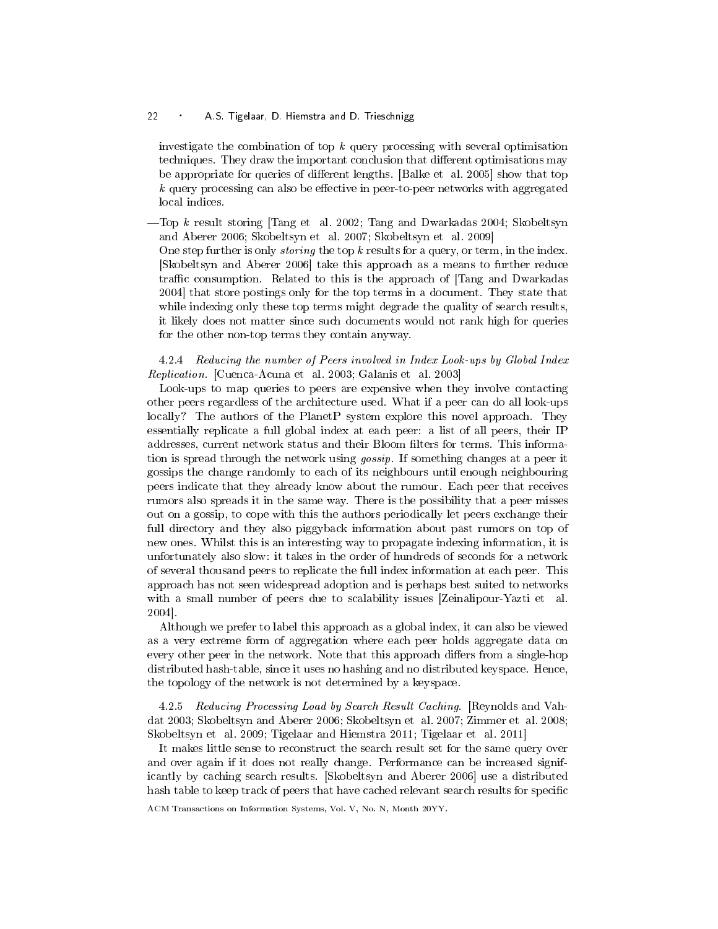investigate the combination of top  $k$  query processing with several optimisation techniques. They draw the important conclusion that different optimisations may be appropriate for queries of different lengths. [Balke et al. 2005] show that top  $k$  query processing can also be effective in peer-to-peer networks with aggregated local indices.

 $\overline{-}$ Top k result storing [Tang et al. 2002; Tang and Dwarkadas 2004; Skobeltsyn and Aberer 2006; Skobeltsyn et al. 2007; Skobeltsyn et al. 2009] One step further is only *storing* the top  $k$  results for a query, or term, in the index. [Skobeltsyn and Aberer 2006] take this approach as a means to further reduce traffic consumption. Related to this is the approach of [Tang and Dwarkadas 2004] that store postings only for the top terms in a document. They state that while indexing only these top terms might degrade the quality of search results, it likely does not matter since such documents would not rank high for queries for the other non-top terms they contain anyway.

4.2.4 Reducing the number of Peers involved in Index Look-ups by Global Index Replication. [Cuenca-Acuna et al. 2003; Galanis et al. 2003]

Look-ups to map queries to peers are expensive when they involve contacting other peers regardless of the architecture used. What if a peer can do all look-ups locally? The authors of the PlanetP system explore this novel approach. They essentially replicate a full global index at each peer: a list of all peers, their IP addresses, current network status and their Bloom filters for terms. This information is spread through the network using gossip. If something changes at a peer it gossips the change randomly to each of its neighbours until enough neighbouring peers indicate that they already know about the rumour. Each peer that receives rumors also spreads it in the same way. There is the possibility that a peer misses out on a gossip, to cope with this the authors periodically let peers exchange their full directory and they also piggyback information about past rumors on top of new ones. Whilst this is an interesting way to propagate indexing information, it is unfortunately also slow: it takes in the order of hundreds of seconds for a network of several thousand peers to replicate the full index information at each peer. This approach has not seen widespread adoption and is perhaps best suited to networks with a small number of peers due to scalability issues [Zeinalipour-Yazti et al. 2004].

Although we prefer to label this approach as a global index, it can also be viewed as a very extreme form of aggregation where each peer holds aggregate data on every other peer in the network. Note that this approach differs from a single-hop distributed hash-table, since it uses no hashing and no distributed keyspace. Hence, the topology of the network is not determined by a keyspace.

4.2.5 Reducing Processing Load by Search Result Caching. [Reynolds and Vahdat 2003; Skobeltsyn and Aberer 2006; Skobeltsyn et al. 2007; Zimmer et al. 2008; Skobeltsyn et al. 2009; Tigelaar and Hiemstra 2011; Tigelaar et al. 2011]

It makes little sense to reconstruct the search result set for the same query over and over again if it does not really change. Performance can be increased significantly by caching search results. [Skobeltsyn and Aberer 2006] use a distributed hash table to keep track of peers that have cached relevant search results for specific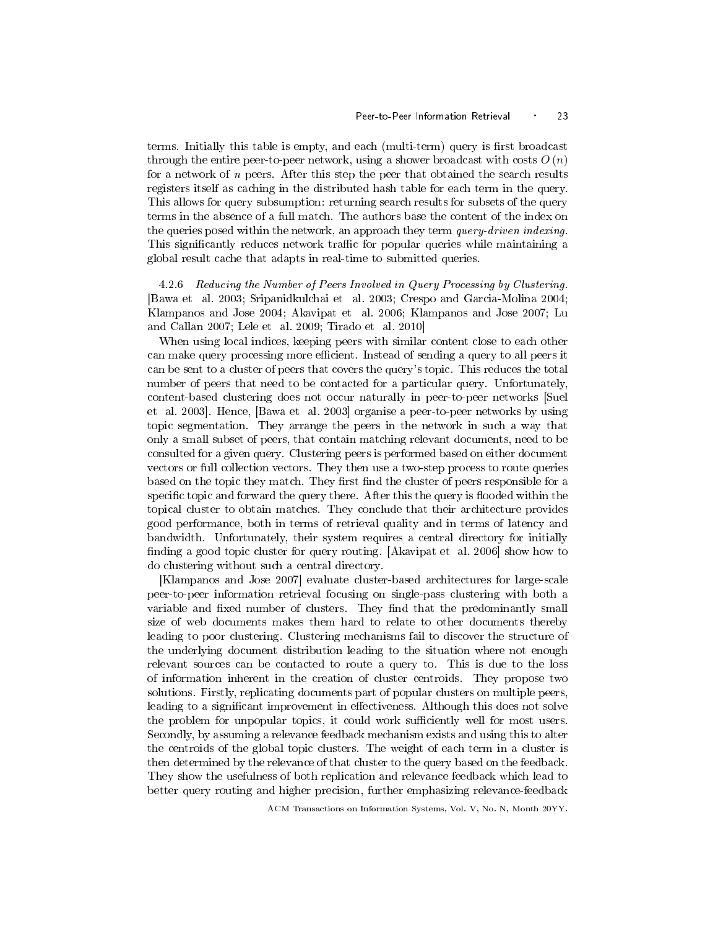terms. Initially this table is empty, and each (multi-term) query is first broadcast through the entire peer-to-peer network, using a shower broadcast with costs  $O(n)$ for a network of n peers. After this step the peer that obtained the search results registers itself as caching in the distributed hash table for each term in the query. This allows for query subsumption: returning search results for subsets of the query terms in the absence of a full match. The authors base the content of the index on the queries posed within the network, an approach they term *query-driven indexing*. This significantly reduces network traffic for popular queries while maintaining a global result cache that adapts in real-time to submitted queries.

4.2.6 Reducing the Number of Peers Involved in Query Processing by Clustering. [Bawa et al. 2003; Sripanidkulchai et al. 2003; Crespo and Garcia-Molina 2004; Klampanos and Jose 2004; Akavipat et al. 2006; Klampanos and Jose 2007; Lu and Callan 2007; Lele et al. 2009; Tirado et al. 2010]

When using local indices, keeping peers with similar content close to each other can make query processing more efficient. Instead of sending a query to all peers it can be sent to a cluster of peers that covers the query's topic. This reduces the total number of peers that need to be contacted for a particular query. Unfortunately, content-based clustering does not occur naturally in peer-to-peer networks [Suel et al. 2003]. Hence, [Bawa et al. 2003] organise a peer-to-peer networks by using topic segmentation. They arrange the peers in the network in such a way that only a small subset of peers, that contain matching relevant documents, need to be consulted for a given query. Clustering peers is performed based on either document vectors or full collection vectors. They then use a two-step process to route queries based on the topic they match. They first find the cluster of peers responsible for a specific topic and forward the query there. After this the query is flooded within the topical cluster to obtain matches. They conclude that their architecture provides good performance, both in terms of retrieval quality and in terms of latency and bandwidth. Unfortunately, their system requires a central directory for initially finding a good topic cluster for query routing. [Akavipat et al. 2006] show how to do clustering without such a central directory.

[Klampanos and Jose 2007] evaluate cluster-based architectures for large-scale peer-to-peer information retrieval focusing on single-pass clustering with both a variable and fixed number of clusters. They find that the predominantly small size of web documents makes them hard to relate to other documents thereby leading to poor clustering. Clustering mechanisms fail to discover the structure of the underlying document distribution leading to the situation where not enough relevant sources can be contacted to route a query to. This is due to the loss of information inherent in the creation of cluster centroids. They propose two solutions. Firstly, replicating documents part of popular clusters on multiple peers, leading to a significant improvement in effectiveness. Although this does not solve the problem for unpopular topics, it could work sufficiently well for most users. Secondly, by assuming a relevance feedback mechanism exists and using this to alter the centroids of the global topic clusters. The weight of each term in a cluster is then determined by the relevance of that cluster to the query based on the feedback. They show the usefulness of both replication and relevance feedback which lead to better query routing and higher precision, further emphasizing relevance-feedback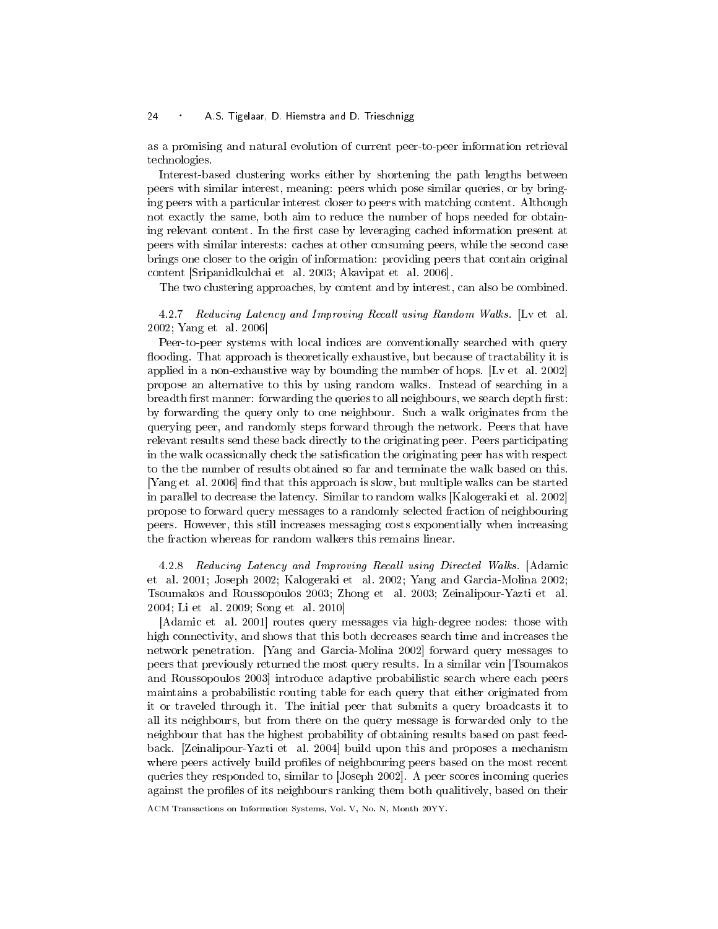as a promising and natural evolution of current peer-to-peer information retrieval technologies.

Interest-based clustering works either by shortening the path lengths between peers with similar interest, meaning: peers which pose similar queries, or by bringing peers with a particular interest closer to peers with matching content. Although not exactly the same, both aim to reduce the number of hops needed for obtaining relevant content. In the first case by leveraging cached information present at peers with similar interests: caches at other consuming peers, while the second case brings one closer to the origin of information: providing peers that contain original content [Sripanidkulchai et al. 2003; Akavipat et al. 2006].

The two clustering approaches, by content and by interest, can also be combined.

# 4.2.7 Reducing Latency and Improving Recall using Random Walks. [Lv et al. 2002; Yang et al. 2006]

Peer-to-peer systems with local indices are conventionally searched with query flooding. That approach is theoretically exhaustive, but because of tractability it is applied in a non-exhaustive way by bounding the number of hops. [Lv et al. 2002] propose an alternative to this by using random walks. Instead of searching in a breadth first manner: forwarding the queries to all neighbours, we search depth first: by forwarding the query only to one neighbour. Such a walk originates from the querying peer, and randomly steps forward through the network. Peers that have relevant results send these back directly to the originating peer. Peers participating in the walk ocassionally check the satisfication the originating peer has with respect to the the number of results obtained so far and terminate the walk based on this. [Yang et al. 2006] find that this approach is slow, but multiple walks can be started in parallel to decrease the latency. Similar to random walks [Kalogeraki et al. 2002] propose to forward query messages to a randomly selected fraction of neighbouring peers. However, this still increases messaging costs exponentially when increasing the fraction whereas for random walkers this remains linear.

4.2.8 Reducing Latency and Improving Recall using Directed Walks. [Adamic et al. 2001; Joseph 2002; Kalogeraki et al. 2002; Yang and Garcia-Molina 2002; Tsoumakos and Roussopoulos 2003; Zhong et al. 2003; Zeinalipour-Yazti et al. 2004; Li et al. 2009; Song et al. 2010]

[Adamic et al. 2001] routes query messages via high-degree nodes: those with high connectivity, and shows that this both decreases search time and increases the network penetration. [Yang and Garcia-Molina 2002] forward query messages to peers that previously returned the most query results. In a similar vein [Tsoumakos and Roussopoulos 2003] introduce adaptive probabilistic search where each peers maintains a probabilistic routing table for each query that either originated from it or traveled through it. The initial peer that submits a query broadcasts it to all its neighbours, but from there on the query message is forwarded only to the neighbour that has the highest probability of obtaining results based on past feedback. [Zeinalipour-Yazti et al. 2004] build upon this and proposes a mechanism where peers actively build profiles of neighbouring peers based on the most recent queries they responded to, similar to [Joseph 2002]. A peer scores incoming queries against the profiles of its neighbours ranking them both qualitively, based on their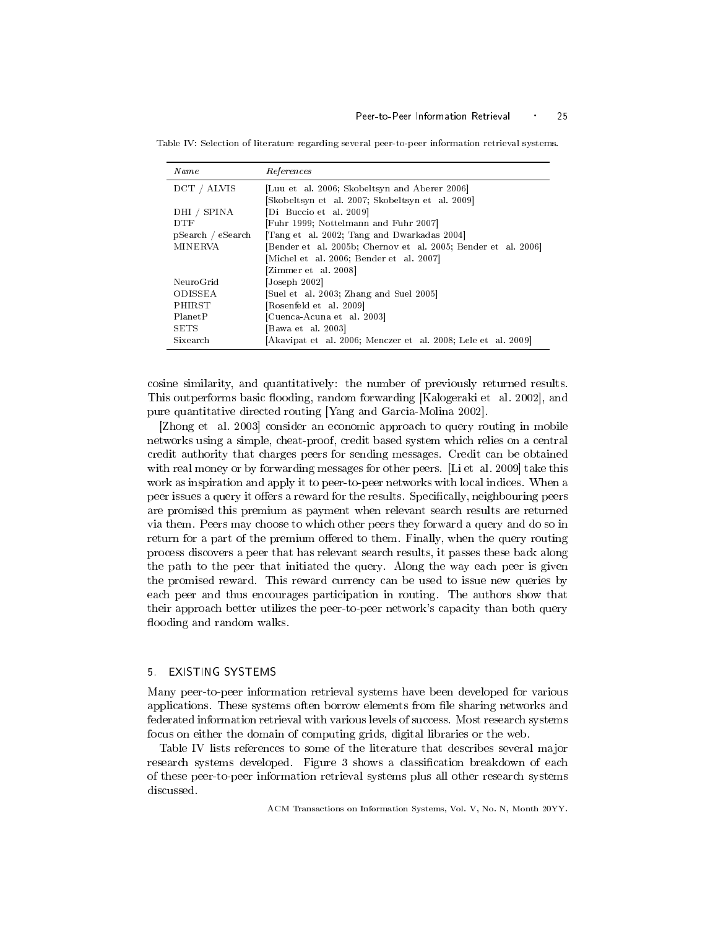| Name              | References                                                       |  |
|-------------------|------------------------------------------------------------------|--|
| DCT / ALVIS       | [Luu et al. 2006; Skobeltsyn and Aberer 2006]                    |  |
|                   | [Skobeltsyn et  al. 2007; Skobeltsyn et  al. 2009]               |  |
| DHI / SPINA       | [Di Buccio et al. 2009]                                          |  |
| DTF               | [Fuhr 1999; Nottelmann and Fuhr 2007]                            |  |
| pSearch / eSearch | Tang et al. 2002; Tang and Dwarkadas 2004                        |  |
| MINERVA           | [Bender et al. 2005b; Chernov et al. 2005; Bender et al. 2006]   |  |
|                   | Michel et al. 2006; Bender et al. 2007]                          |  |
|                   | [Zimmer et _al. 2008]                                            |  |
| NeuroGrid         | [Joseph 2002]                                                    |  |
| ODISSEA           | [Suel et al. 2003; Zhang and Suel 2005]                          |  |
| PHIRST            | [Rosenfeld et al. 2009]                                          |  |
| Planet P          | [Cuenca-Acuna et al. 2003]                                       |  |
| <b>SETS</b>       | Bawa et al. 2003]                                                |  |
| Sixearch          | [Akavipat et  al. 2006; Menczer et  al. 2008; Lele et  al. 2009] |  |

Table IV: Selection of literature regarding several peer-to-peer information retrieval systems.

cosine similarity, and quantitatively: the number of previously returned results. This outperforms basic flooding, random forwarding [Kalogeraki et al. 2002], and pure quantitative directed routing [Yang and Garcia-Molina 2002].

[Zhong et al. 2003] consider an economic approach to query routing in mobile networks using a simple, cheat-proof, credit based system which relies on a central credit authority that charges peers for sending messages. Credit can be obtained with real money or by forwarding messages for other peers. [Li et al. 2009] take this work as inspiration and apply it to peer-to-peer networks with local indices. When a peer issues a query it offers a reward for the results. Specifically, neighbouring peers are promised this premium as payment when relevant search results are returned via them. Peers may choose to which other peers they forward a query and do so in return for a part of the premium offered to them. Finally, when the query routing process discovers a peer that has relevant search results, it passes these back along the path to the peer that initiated the query. Along the way each peer is given the promised reward. This reward currency can be used to issue new queries by each peer and thus encourages participation in routing. The authors show that their approach better utilizes the peer-to-peer network's capacity than both query flooding and random walks.

# 5. EXISTING SYSTEMS

Many peer-to-peer information retrieval systems have been developed for various applications. These systems often borrow elements from file sharing networks and federated information retrieval with various levels of success. Most research systems focus on either the domain of computing grids, digital libraries or the web.

Table IV lists references to some of the literature that describes several major research systems developed. Figure 3 shows a classification breakdown of each of these peer-to-peer information retrieval systems plus all other research systems discussed.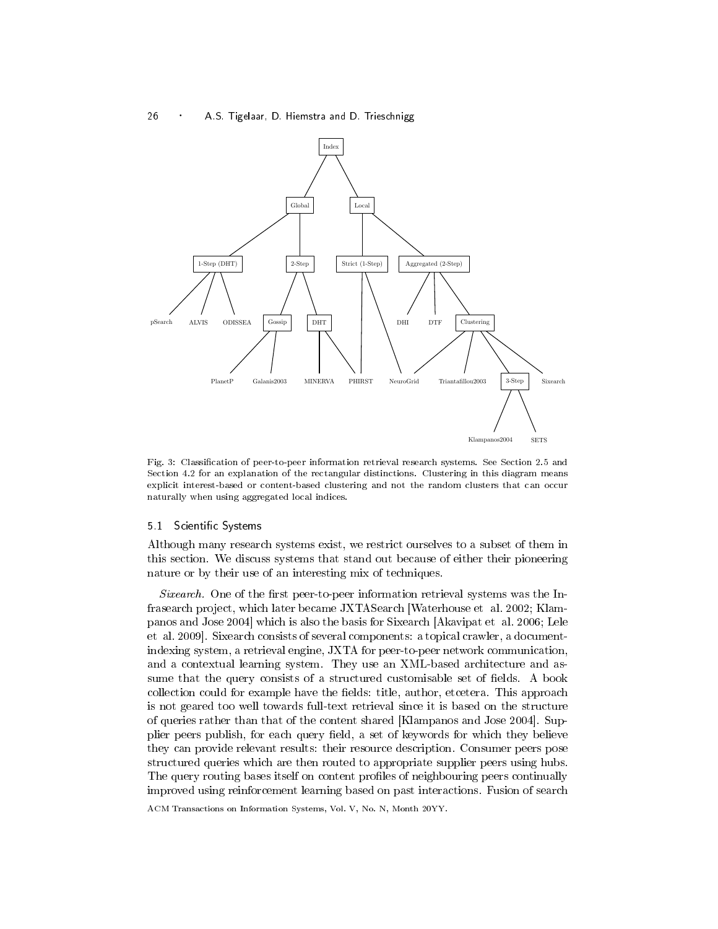

Fig. 3: Classification of peer-to-peer information retrieval research systems. See Section 2.5 and Section 4.2 for an explanation of the rectangular distinctions. Clustering in this diagram means explicit interest-based or content-based clustering and not the random clusters that can occur naturally when using aggregated local indices.

#### 5.1 Scientific Systems

Although many research systems exist, we restrict ourselves to a subset of them in this section. We discuss systems that stand out because of either their pioneering nature or by their use of an interesting mix of techniques.

 $Sizearch$ . One of the first peer-to-peer information retrieval systems was the Infrasearch project, which later became JXTASearch [Waterhouse et al. 2002; Klampanos and Jose 2004] which is also the basis for Sixearch [Akavipat et al. 2006; Lele et al. 2009]. Sixearch consists of several components: a topical crawler, a documentindexing system, a retrieval engine, JXTA for peer-to-peer network communication, and a contextual learning system. They use an XML-based architecture and assume that the query consists of a structured customisable set of fields. A book collection could for example have the fields: title, author, etcetera. This approach is not geared too well towards full-text retrieval since it is based on the structure of queries rather than that of the content shared [Klampanos and Jose 2004]. Supplier peers publish, for each query field, a set of keywords for which they believe they can provide relevant results: their resource description. Consumer peers pose structured queries which are then routed to appropriate supplier peers using hubs. The query routing bases itself on content profiles of neighbouring peers continually improved using reinforcement learning based on past interactions. Fusion of search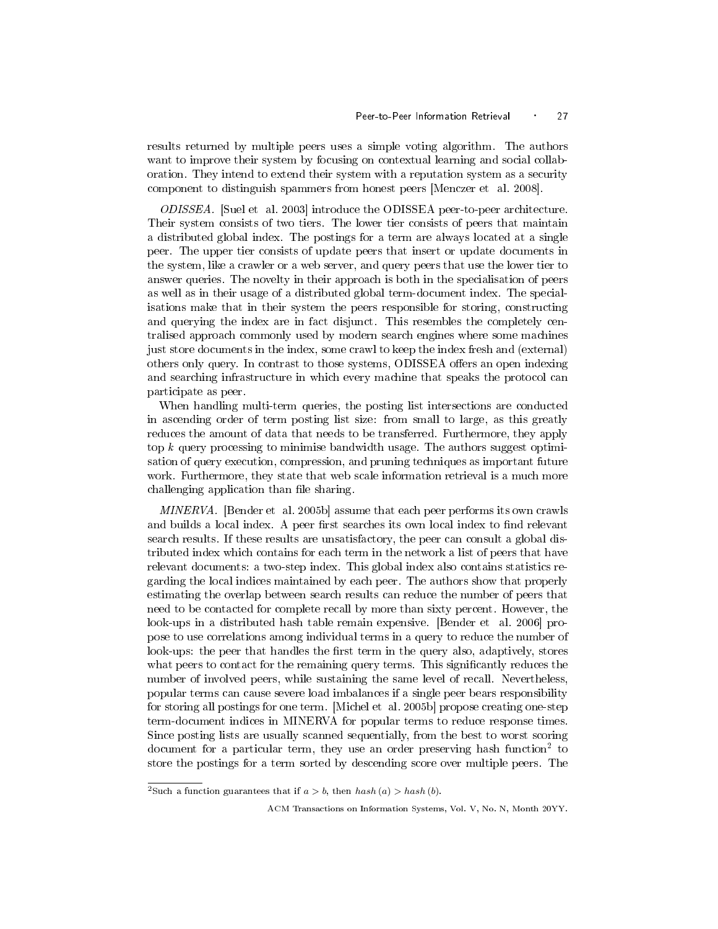results returned by multiple peers uses a simple voting algorithm. The authors want to improve their system by focusing on contextual learning and social collaboration. They intend to extend their system with a reputation system as a security component to distinguish spammers from honest peers [Menczer et al. 2008].

ODISSEA. [Suel et al. 2003] introduce the ODISSEA peer-to-peer architecture. Their system consists of two tiers. The lower tier consists of peers that maintain a distributed global index. The postings for a term are always located at a single peer. The upper tier consists of update peers that insert or update documents in the system, like a crawler or a web server, and query peers that use the lower tier to answer queries. The novelty in their approach is both in the specialisation of peers as well as in their usage of a distributed global term-document index. The specialisations make that in their system the peers responsible for storing, constructing and querying the index are in fact disjunct. This resembles the completely centralised approach commonly used by modern search engines where some machines just store documents in the index, some crawl to keep the index fresh and (external) others only query. In contrast to those systems, ODISSEA offers an open indexing and searching infrastructure in which every machine that speaks the protocol can participate as peer.

When handling multi-term queries, the posting list intersections are conducted in ascending order of term posting list size: from small to large, as this greatly reduces the amount of data that needs to be transferred. Furthermore, they apply top k query processing to minimise bandwidth usage. The authors suggest optimisation of query execution, compression, and pruning techniques as important future work. Furthermore, they state that web scale information retrieval is a much more challenging application than file sharing.

MINERVA. [Bender et al. 2005b] assume that each peer performs its own crawls and builds a local index. A peer first searches its own local index to find relevant search results. If these results are unsatisfactory, the peer can consult a global distributed index which contains for each term in the network a list of peers that have relevant documents: a two-step index. This global index also contains statistics regarding the local indices maintained by each peer. The authors show that properly estimating the overlap between search results can reduce the number of peers that need to be contacted for complete recall by more than sixty percent. However, the look-ups in a distributed hash table remain expensive. [Bender et al. 2006] propose to use correlations among individual terms in a query to reduce the number of look-ups: the peer that handles the first term in the query also, adaptively, stores what peers to contact for the remaining query terms. This significantly reduces the number of involved peers, while sustaining the same level of recall. Nevertheless, popular terms can cause severe load imbalances if a single peer bears responsibility for storing all postings for one term. [Michel et al. 2005b] propose creating one-step term-document indices in MINERVA for popular terms to reduce response times. Since posting lists are usually scanned sequentially, from the best to worst scoring document for a particular term, they use an order preserving hash function<sup>2</sup> to store the postings for a term sorted by descending score over multiple peers. The

<sup>&</sup>lt;sup>2</sup>Such a function guarantees that if  $a > b$ , then  $hash(a) > hash(b)$ .

ACM Transactions on Information Systems, Vol. V, No. N, Month 20YY.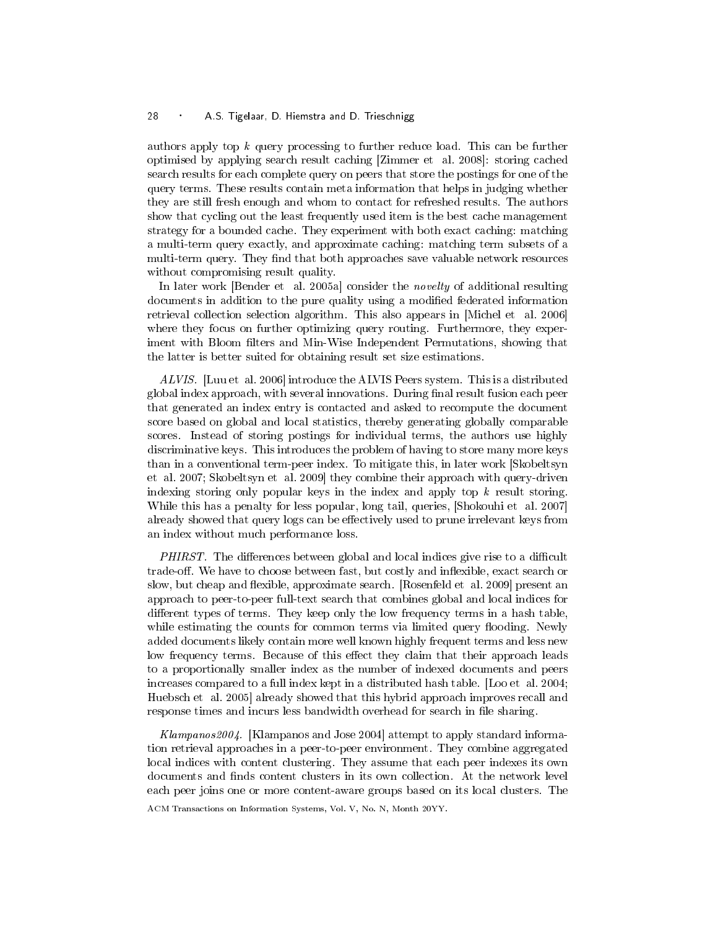authors apply top  $k$  query processing to further reduce load. This can be further optimised by applying search result caching [Zimmer et al. 2008]: storing cached search results for each complete query on peers that store the postings for one of the query terms. These results contain meta information that helps in judging whether they are still fresh enough and whom to contact for refreshed results. The authors show that cycling out the least frequently used item is the best cache management strategy for a bounded cache. They experiment with both exact caching: matching a multi-term query exactly, and approximate caching: matching term subsets of a multi-term query. They find that both approaches save valuable network resources without compromising result quality.

In later work [Bender et al. 2005a] consider the novelty of additional resulting documents in addition to the pure quality using a modified federated information retrieval collection selection algorithm. This also appears in [Michel et al. 2006] where they focus on further optimizing query routing. Furthermore, they experiment with Bloom filters and Min-Wise Independent Permutations, showing that the latter is better suited for obtaining result set size estimations.

ALVIS. [Luu et al. 2006] introduce the ALVIS Peers system. This is a distributed global index approach, with several innovations. During final result fusion each peer that generated an index entry is contacted and asked to recompute the document score based on global and local statistics, thereby generating globally comparable scores. Instead of storing postings for individual terms, the authors use highly discriminative keys. This introduces the problem of having to store many more keys than in a conventional term-peer index. To mitigate this, in later work [Skobeltsyn et al. 2007; Skobeltsyn et al. 2009] they combine their approach with query-driven indexing storing only popular keys in the index and apply top  $k$  result storing. While this has a penalty for less popular, long tail, queries, [Shokouhi et al. 2007] already showed that query logs can be effectively used to prune irrelevant keys from an index without much performance loss.

PHIRST. The differences between global and local indices give rise to a difficult trade-off. We have to choose between fast, but costly and inflexible, exact search or slow, but cheap and flexible, approximate search. [Rosenfeld et al. 2009] present an approach to peer-to-peer full-text search that combines global and local indices for different types of terms. They keep only the low frequency terms in a hash table, while estimating the counts for common terms via limited query flooding. Newly added documents likely contain more well known highly frequent terms and less new low frequency terms. Because of this effect they claim that their approach leads to a proportionally smaller index as the number of indexed documents and peers increases compared to a full index kept in a distributed hash table. [Loo et al. 2004; Huebsch et al. 2005] already showed that this hybrid approach improves recall and response times and incurs less bandwidth overhead for search in file sharing.

Klampanos2004. [Klampanos and Jose 2004] attempt to apply standard information retrieval approaches in a peer-to-peer environment. They combine aggregated local indices with content clustering. They assume that each peer indexes its own documents and finds content clusters in its own collection. At the network level each peer joins one or more content-aware groups based on its local clusters. The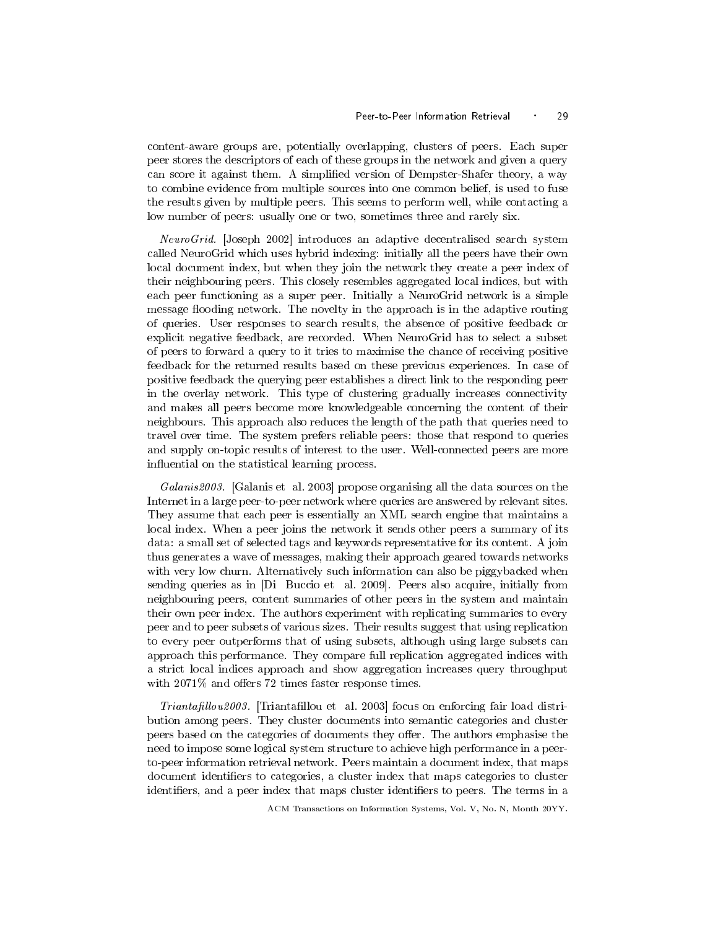content-aware groups are, potentially overlapping, clusters of peers. Each super peer stores the descriptors of each of these groups in the network and given a query can score it against them. A simplified version of Dempster-Shafer theory, a way to combine evidence from multiple sources into one common belief, is used to fuse the results given by multiple peers. This seems to perform well, while contacting a low number of peers: usually one or two, sometimes three and rarely six.

NeuroGrid. [Joseph 2002] introduces an adaptive decentralised search system called NeuroGrid which uses hybrid indexing: initially all the peers have their own local document index, but when they join the network they create a peer index of their neighbouring peers. This closely resembles aggregated local indices, but with each peer functioning as a super peer. Initially a NeuroGrid network is a simple message flooding network. The novelty in the approach is in the adaptive routing of queries. User responses to search results, the absence of positive feedback or explicit negative feedback, are recorded. When NeuroGrid has to select a subset of peers to forward a query to it tries to maximise the chance of receiving positive feedback for the returned results based on these previous experiences. In case of positive feedback the querying peer establishes a direct link to the responding peer in the overlay network. This type of clustering gradually increases connectivity and makes all peers become more knowledgeable concerning the content of their neighbours. This approach also reduces the length of the path that queries need to travel over time. The system prefers reliable peers: those that respond to queries and supply on-topic results of interest to the user. Well-connected peers are more influential on the statistical learning process.

Galanis 2003. [Galanis et al. 2003] propose organising all the data sources on the Internet in a large peer-to-peer network where queries are answered by relevant sites. They assume that each peer is essentially an XML search engine that maintains a local index. When a peer joins the network it sends other peers a summary of its data: a small set of selected tags and keywords representative for its content. A join thus generates a wave of messages, making their approach geared towards networks with very low churn. Alternatively such information can also be piggybacked when sending queries as in [Di Buccio et al. 2009]. Peers also acquire, initially from neighbouring peers, content summaries of other peers in the system and maintain their own peer index. The authors experiment with replicating summaries to every peer and to peer subsets of various sizes. Their results suggest that using replication to every peer outperforms that of using subsets, although using large subsets can approach this performance. They compare full replication aggregated indices with a strict local indices approach and show aggregation increases query throughput with  $2071\%$  and offers 72 times faster response times.

 $Triantafillou2003$ . [Triantafillou et al. 2003] focus on enforcing fair load distribution among peers. They cluster documents into semantic categories and cluster peers based on the categories of documents they offer. The authors emphasise the need to impose some logical system structure to achieve high performance in a peerto-peer information retrieval network. Peers maintain a document index, that maps document identifiers to categories, a cluster index that maps categories to cluster identifiers, and a peer index that maps cluster identifiers to peers. The terms in a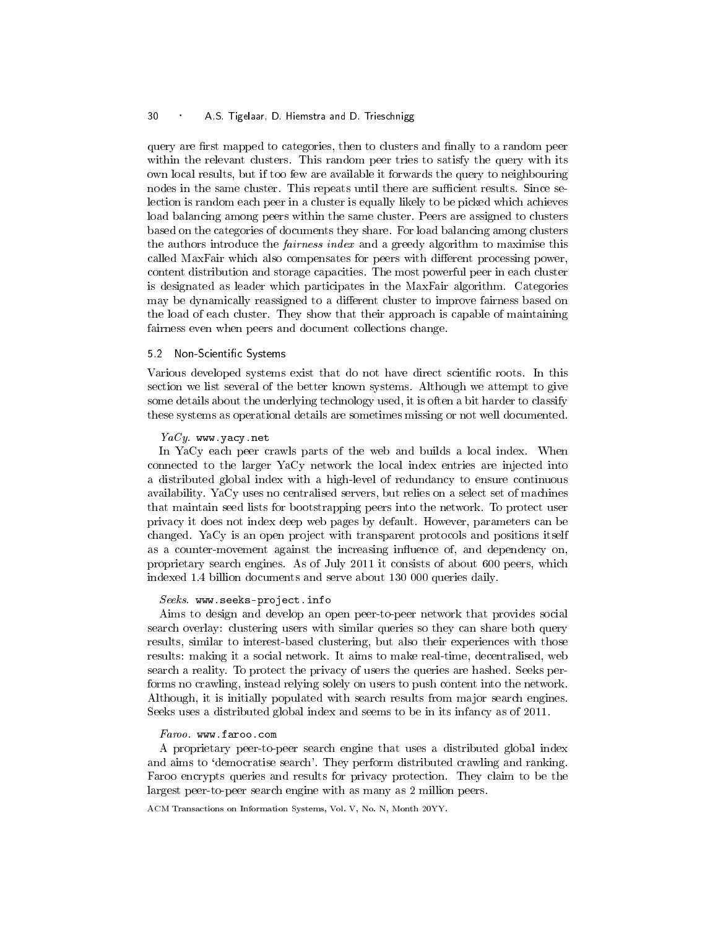query are first mapped to categories, then to clusters and finally to a random peer within the relevant clusters. This random peer tries to satisfy the query with its own local results, but if too few are available it forwards the query to neighbouring nodes in the same cluster. This repeats until there are sufficient results. Since selection is random each peer in a cluster is equally likely to be picked which achieves load balancing among peers within the same cluster. Peers are assigned to clusters based on the categories of documents they share. For load balancing among clusters the authors introduce the fairness index and a greedy algorithm to maximise this called MaxFair which also compensates for peers with different processing power, content distribution and storage capacities. The most powerful peer in each cluster is designated as leader which participates in the MaxFair algorithm. Categories may be dynamically reassigned to a different cluster to improve fairness based on the load of each cluster. They show that their approach is capable of maintaining fairness even when peers and document collections change.

#### 5.2 Non-Scientific Systems

Various developed systems exist that do not have direct scientific roots. In this section we list several of the better known systems. Although we attempt to give some details about the underlying technology used, it is often a bit harder to classify these systems as operational details are sometimes missing or not well documented.

## $Ya\,Cy.$  www.yacy.net

In YaCy each peer crawls parts of the web and builds a local index. When connected to the larger YaCy network the local index entries are injected into a distributed global index with a high-level of redundancy to ensure continuous availability. YaCy uses no centralised servers, but relies on a select set of machines that maintain seed lists for bootstrapping peers into the network. To protect user privacy it does not index deep web pages by default. However, parameters can be changed. YaCy is an open project with transparent protocols and positions itself as a counter-movement against the increasing influence of, and dependency on, proprietary search engines. As of July 2011 it consists of about 600 peers, which indexed 1.4 billion documents and serve about 130 000 queries daily.

#### Seeks. www.seeks-project.info

Aims to design and develop an open peer-to-peer network that provides social search overlay: clustering users with similar queries so they can share both query results, similar to interest-based clustering, but also their experiences with those results: making it a social network. It aims to make real-time, decentralised, web search a reality. To protect the privacy of users the queries are hashed. Seeks performs no crawling, instead relying solely on users to push content into the network. Although, it is initially populated with search results from major search engines. Seeks uses a distributed global index and seems to be in its infancy as of 2011.

## Faroo. www.faroo.com

A proprietary peer-to-peer search engine that uses a distributed global index and aims to 'democratise search'. They perform distributed crawling and ranking. Faroo encrypts queries and results for privacy protection. They claim to be the largest peer-to-peer search engine with as many as 2 million peers.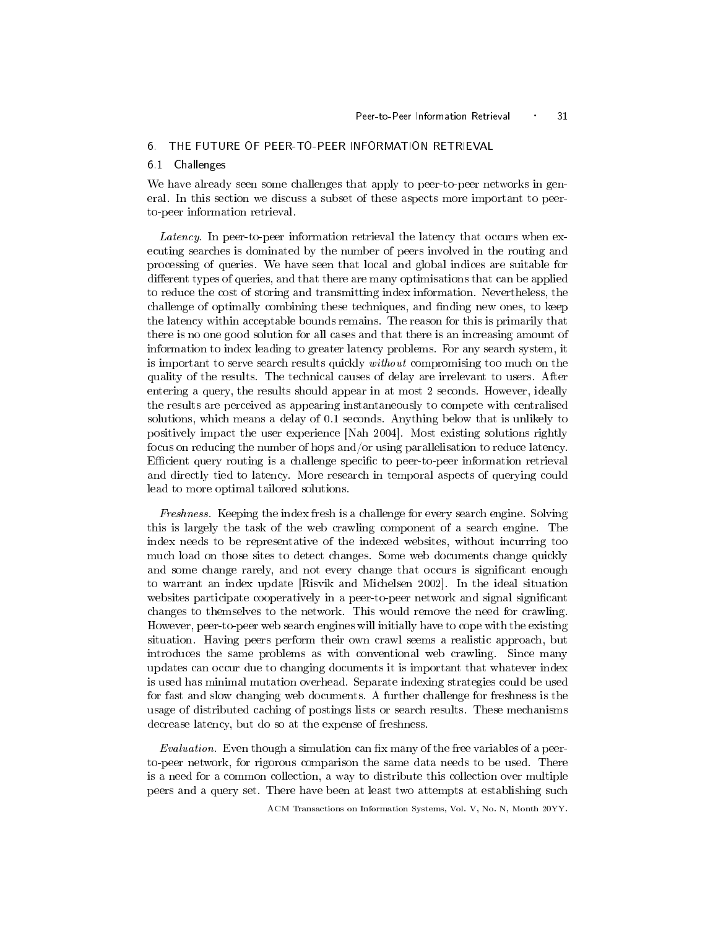## 6. THE FUTURE OF PEER-TO-PEER INFORMATION RETRIEVAL

## 6.1 Challenges

We have already seen some challenges that apply to peer-to-peer networks in general. In this section we discuss a subset of these aspects more important to peerto-peer information retrieval.

Latency. In peer-to-peer information retrieval the latency that occurs when executing searches is dominated by the number of peers involved in the routing and processing of queries. We have seen that local and global indices are suitable for different types of queries, and that there are many optimisations that can be applied to reduce the cost of storing and transmitting index information. Nevertheless, the challenge of optimally combining these techniques, and finding new ones, to keep the latency within acceptable bounds remains. The reason for this is primarily that there is no one good solution for all cases and that there is an increasing amount of information to index leading to greater latency problems. For any search system, it is important to serve search results quickly without compromising too much on the quality of the results. The technical causes of delay are irrelevant to users. After entering a query, the results should appear in at most 2 seconds. However, ideally the results are perceived as appearing instantaneously to compete with centralised solutions, which means a delay of 0.1 seconds. Anything below that is unlikely to positively impact the user experience [Nah 2004]. Most existing solutions rightly focus on reducing the number of hops and/or using parallelisation to reduce latency. Efficient query routing is a challenge specific to peer-to-peer information retrieval and directly tied to latency. More research in temporal aspects of querying could lead to more optimal tailored solutions.

Freshness. Keeping the index fresh is a challenge for every search engine. Solving this is largely the task of the web crawling component of a search engine. The index needs to be representative of the indexed websites, without incurring too much load on those sites to detect changes. Some web documents change quickly and some change rarely, and not every change that occurs is significant enough to warrant an index update [Risvik and Michelsen 2002]. In the ideal situation websites participate cooperatively in a peer-to-peer network and signal significant changes to themselves to the network. This would remove the need for crawling. However, peer-to-peer web search engines will initially have to cope with the existing situation. Having peers perform their own crawl seems a realistic approach, but introduces the same problems as with conventional web crawling. Since many updates can occur due to changing documents it is important that whatever index is used has minimal mutation overhead. Separate indexing strategies could be used for fast and slow changing web documents. A further challenge for freshness is the usage of distributed caching of postings lists or search results. These mechanisms decrease latency, but do so at the expense of freshness.

Evaluation. Even though a simulation can fix many of the free variables of a peerto-peer network, for rigorous comparison the same data needs to be used. There is a need for a common collection, a way to distribute this collection over multiple peers and a query set. There have been at least two attempts at establishing such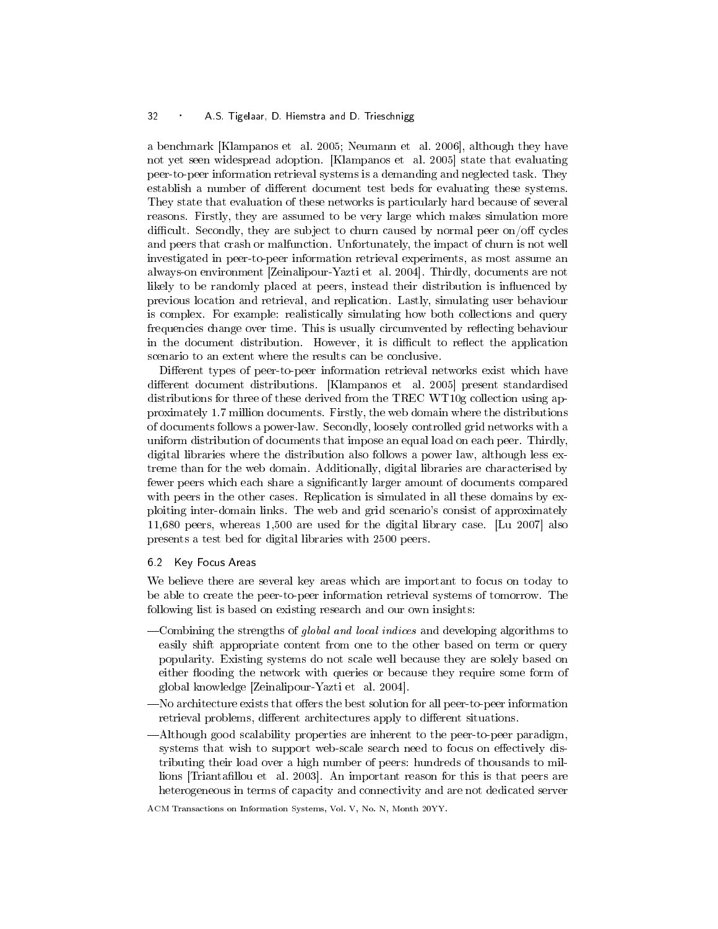a benchmark [Klampanos et al. 2005; Neumann et al. 2006], although they have not yet seen widespread adoption. [Klampanos et al. 2005] state that evaluating peer-to-peer information retrieval systems is a demanding and neglected task. They establish a number of different document test beds for evaluating these systems. They state that evaluation of these networks is particularly hard because of several reasons. Firstly, they are assumed to be very large which makes simulation more difficult. Secondly, they are subject to churn caused by normal peer on/off cycles and peers that crash or malfunction. Unfortunately, the impact of churn is not well investigated in peer-to-peer information retrieval experiments, as most assume an always-on environment [Zeinalipour-Yazti et al. 2004]. Thirdly, documents are not likely to be randomly placed at peers, instead their distribution is influenced by previous location and retrieval, and replication. Lastly, simulating user behaviour is complex. For example: realistically simulating how both collections and query frequencies change over time. This is usually circumvented by reflecting behaviour in the document distribution. However, it is difficult to reflect the application scenario to an extent where the results can be conclusive.

Different types of peer-to-peer information retrieval networks exist which have different document distributions. [Klampanos et al. 2005] present standardised distributions for three of these derived from the TREC WT10g collection using approximately 1.7 million documents. Firstly, the web domain where the distributions of documents follows a power-law. Secondly, loosely controlled grid networks with a uniform distribution of documents that impose an equal load on each peer. Thirdly, digital libraries where the distribution also follows a power law, although less extreme than for the web domain. Additionally, digital libraries are characterised by fewer peers which each share a signicantly larger amount of documents compared with peers in the other cases. Replication is simulated in all these domains by exploiting inter-domain links. The web and grid scenario's consist of approximately 11,680 peers, whereas 1,500 are used for the digital library case. [Lu 2007] also presents a test bed for digital libraries with 2500 peers.

## 6.2 Key Focus Areas

We believe there are several key areas which are important to focus on today to be able to create the peer-to-peer information retrieval systems of tomorrow. The following list is based on existing research and our own insights:

- -Combining the strengths of global and local indices and developing algorithms to easily shift appropriate content from one to the other based on term or query popularity. Existing systems do not scale well because they are solely based on either flooding the network with queries or because they require some form of global knowledge [Zeinalipour-Yazti et al. 2004].
- No architecture exists that offers the best solution for all peer-to-peer information retrieval problems, different architectures apply to different situations.
- Although good scalability properties are inherent to the peer-to-peer paradigm, systems that wish to support web-scale search need to focus on effectively distributing their load over a high number of peers: hundreds of thousands to millions [Triantallou et al. 2003]. An important reason for this is that peers are heterogeneous in terms of capacity and connectivity and are not dedicated server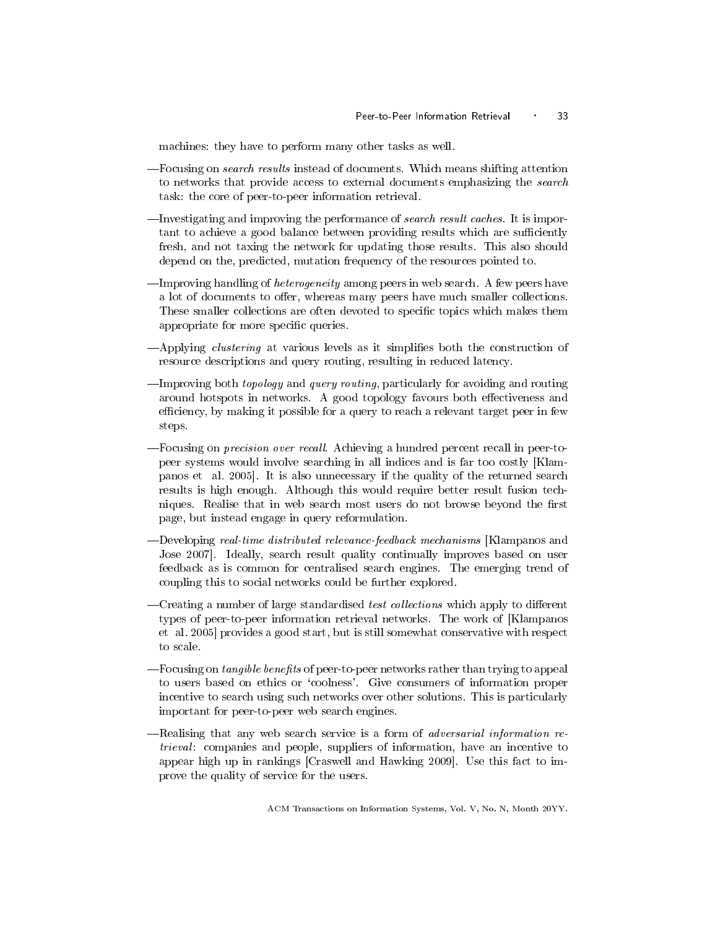machines: they have to perform many other tasks as well.

- Focusing on search results instead of documents. Which means shifting attention to networks that provide access to external documents emphasizing the search task: the core of peer-to-peer information retrieval.
- Investigating and improving the performance of *search result caches*. It is important to achieve a good balance between providing results which are sufficiently fresh, and not taxing the network for updating those results. This also should depend on the, predicted, mutation frequency of the resources pointed to.
- -Improving handling of *heterogeneity* among peers in web search. A few peers have a lot of documents to offer, whereas many peers have much smaller collections. These smaller collections are often devoted to specific topics which makes them appropriate for more specific queries.
- $\rightarrow$ Applying *clustering* at various levels as it simplifies both the construction of resource descriptions and query routing, resulting in reduced latency.
- Improving both *topology* and *query routing*, particularly for avoiding and routing around hotspots in networks. A good topology favours both effectiveness and efficiency, by making it possible for a query to reach a relevant target peer in few steps.
- Focusing on precision over recall. Achieving a hundred percent recall in peer-topeer systems would involve searching in all indices and is far too costly [Klampanos et al. 2005]. It is also unnecessary if the quality of the returned search results is high enough. Although this would require better result fusion techniques. Realise that in web search most users do not browse beyond the first page, but instead engage in query reformulation.
- Developing real-time distributed relevance-feedback mechanisms [Klampanos and Jose 2007]. Ideally, search result quality continually improves based on user feedback as is common for centralised search engines. The emerging trend of coupling this to social networks could be further explored.
- -Creating a number of large standardised *test collections* which apply to different types of peer-to-peer information retrieval networks. The work of [Klampanos et al. 2005] provides a good start, but is still somewhat conservative with respect to scale.
- -Focusing on tangible benefits of peer-to-peer networks rather than trying to appeal to users based on ethics or `coolness'. Give consumers of information proper incentive to search using such networks over other solutions. This is particularly important for peer-to-peer web search engines.
- -Realising that any web search service is a form of *adversarial information re*trieval: companies and people, suppliers of information, have an incentive to appear high up in rankings [Craswell and Hawking 2009]. Use this fact to improve the quality of service for the users.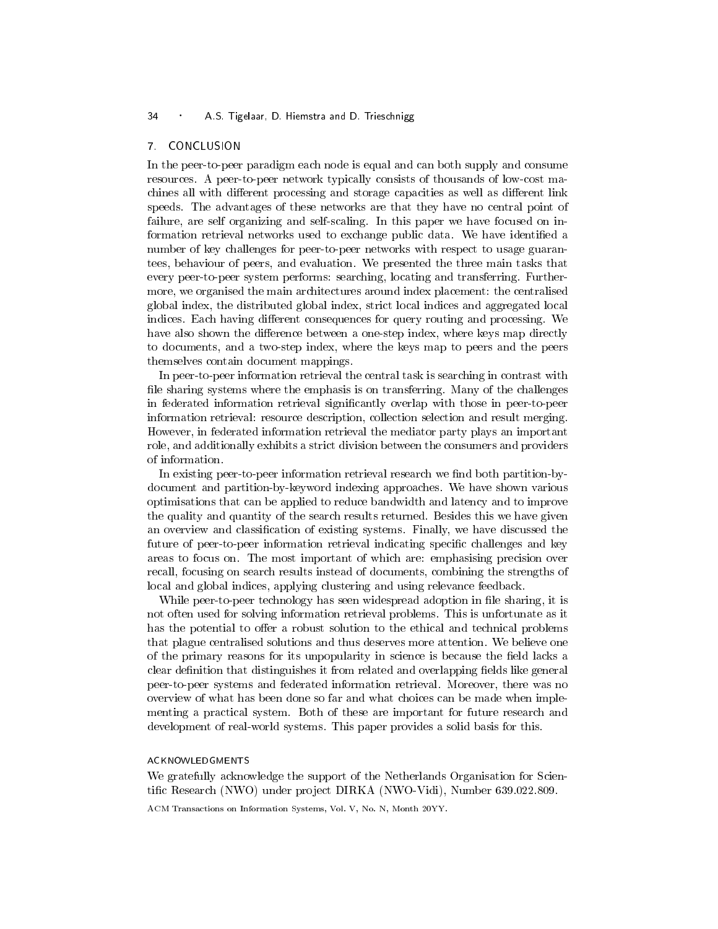## 7. CONCLUSION

In the peer-to-peer paradigm each node is equal and can both supply and consume resources. A peer-to-peer network typically consists of thousands of low-cost machines all with different processing and storage capacities as well as different link speeds. The advantages of these networks are that they have no central point of failure, are self organizing and self-scaling. In this paper we have focused on information retrieval networks used to exchange public data. We have identified a number of key challenges for peer-to-peer networks with respect to usage guarantees, behaviour of peers, and evaluation. We presented the three main tasks that every peer-to-peer system performs: searching, locating and transferring. Furthermore, we organised the main architectures around index placement: the centralised global index, the distributed global index, strict local indices and aggregated local indices. Each having different consequences for query routing and processing. We have also shown the difference between a one-step index, where keys map directly to documents, and a two-step index, where the keys map to peers and the peers themselves contain document mappings.

In peer-to-peer information retrieval the central task is searching in contrast with file sharing systems where the emphasis is on transferring. Many of the challenges in federated information retrieval significantly overlap with those in peer-to-peer information retrieval: resource description, collection selection and result merging. However, in federated information retrieval the mediator party plays an important role, and additionally exhibits a strict division between the consumers and providers of information.

In existing peer-to-peer information retrieval research we find both partition-bydocument and partition-by-keyword indexing approaches. We have shown various optimisations that can be applied to reduce bandwidth and latency and to improve the quality and quantity of the search results returned. Besides this we have given an overview and classification of existing systems. Finally, we have discussed the future of peer-to-peer information retrieval indicating specific challenges and key areas to focus on. The most important of which are: emphasising precision over recall, focusing on search results instead of documents, combining the strengths of local and global indices, applying clustering and using relevance feedback.

While peer-to-peer technology has seen widespread adoption in file sharing, it is not often used for solving information retrieval problems. This is unfortunate as it has the potential to offer a robust solution to the ethical and technical problems that plague centralised solutions and thus deserves more attention. We believe one of the primary reasons for its unpopularity in science is because the field lacks a clear definition that distinguishes it from related and overlapping fields like general peer-to-peer systems and federated information retrieval. Moreover, there was no overview of what has been done so far and what choices can be made when implementing a practical system. Both of these are important for future research and development of real-world systems. This paper provides a solid basis for this.

### ACKNOWLEDGMENTS

We gratefully acknowledge the support of the Netherlands Organisation for Scientific Research (NWO) under project DIRKA (NWO-Vidi), Number 639.022.809.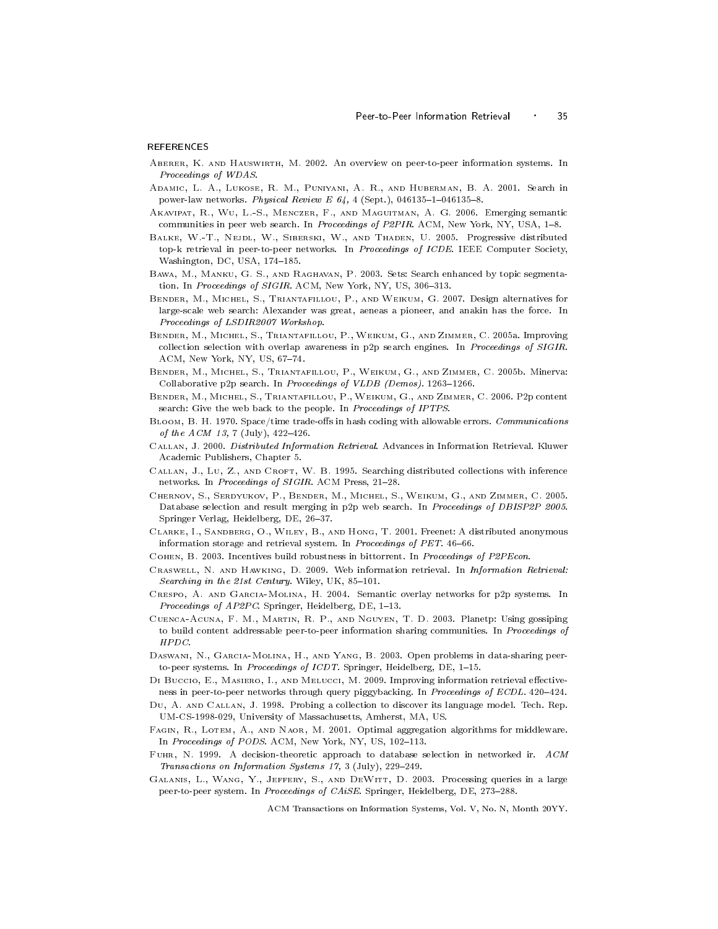#### **REFERENCES**

- Aberer, K. and Hauswirth, M. 2002. An overview on peer-to-peer information systems. In Proceedings of WDAS.
- Adamic, L. A., Lukose, R. M., Puniyani, A. R., and Huberman, B. A. 2001. Search in power-law networks. Physical Review E  $64$ , 4 (Sept.), 046135-1-046135-8.
- Akavipat, R., Wu, L.-S., Menczer, F., and Maguitman, A. G. 2006. Emerging semantic communities in peer web search. In Proceedings of P2PIR. ACM, New York, NY, USA, 1-8.
- Balke, W.-T., Nejdl, W., Siberski, W., and Thaden, U. 2005. Progressive distributed top-k retrieval in peer-to-peer networks. In Proceedings of ICDE. IEEE Computer Society, Washington, DC, USA, 174-185.
- Bawa, M., Manku, G. S., and Raghavan, P. 2003. Sets: Search enhanced by topic segmentation. In Proceedings of SIGIR. ACM, New York, NY, US, 306-313.
- Bender, M., Michel, S., Triantafillou, P., and Weikum, G. 2007. Design alternatives for large-scale web search: Alexander was great, aeneas a pioneer, and anakin has the force. In Proceedings of LSDIR2007 Workshop.
- Bender, M., Michel, S., Triantafillou, P., Weikum, G., and Zimmer, C. 2005a. Improving collection selection with overlap awareness in p2p search engines. In Proceedings of SIGIR. ACM, New York, NY, US, 67-74.
- Bender, M., Michel, S., Triantafillou, P., Weikum, G., and Zimmer, C. 2005b. Minerva: Collaborative p2p search. In Proceedings of VLDB (Demos).  $1263-1266$ .
- Bender, M., Michel, S., Triantafillou, P., Weikum, G., and Zimmer, C. 2006. P2p content search: Give the web back to the people. In Proceedings of IPTPS.
- BLOOM, B. H. 1970. Space/time trade-offs in hash coding with allowable errors. *Communications* of the  $A CM$  13, 7 (July), 422-426.
- Callan, J. 2000. Distributed Information Retrieval. Advances in Information Retrieval. Kluwer Academic Publishers, Chapter 5.
- CALLAN, J., LU, Z., AND CROFT, W. B. 1995. Searching distributed collections with inference networks. In Proceedings of SIGIR. ACM Press, 21-28.
- Chernov, S., Serdyukov, P., Bender, M., Michel, S., Weikum, G., and Zimmer, C. 2005. Database selection and result merging in p2p web search. In Proceedings of DBISP2P 2005. Springer Verlag, Heidelberg, DE, 26-37.
- Clarke, I., Sandberg, O., Wiley, B., and Hong, T. 2001. Freenet: A distributed anonymous information storage and retrieval system. In Proceedings of PET.  $46-66$ .
- COHEN, B. 2003. Incentives build robustness in bittorrent. In Proceedings of P2PEcon.
- Craswell, N. and Hawking, D. 2009. Web information retrieval. In Information Retrieval: Searching in the  $21st$  Century. Wiley, UK, 85-101.
- Crespo, A. and Garcia-Molina, H. 2004. Semantic overlay networks for p2p systems. In Proceedings of AP2PC. Springer, Heidelberg, DE, 1-13.
- Cuenca-Acuna, F. M., Martin, R. P., and Nguyen, T. D. 2003. Planetp: Using gossiping to build content addressable peer-to-peer information sharing communities. In Proceedings of HPDC.
- Daswani, N., Garcia-Molina, H., and Yang, B. 2003. Open problems in data-sharing peerto-peer systems. In Proceedings of ICDT. Springer, Heidelberg, DE,  $1-15$ .
- Di Buccio, E., Masiero, I., and Melucci, M. 2009. Improving information retrieval effectiveness in peer-to-peer networks through query piggybacking. In Proceedings of ECDL. 420–424.
- Du, A. and Callan, J. 1998. Probing a collection to discover its language model. Tech. Rep. UM-CS-1998-029, University of Massachusetts, Amherst, MA, US.
- FAGIN, R., LOTEM, A., AND NAOR, M. 2001. Optimal aggregation algorithms for middleware. In Proceedings of PODS. ACM, New York, NY, US, 102-113.
- FUHR, N. 1999. A decision-theoretic approach to database selection in networked ir.  $ACM$ Transactions on Information Systems  $17, 3$  (July),  $229-249$ .
- Galanis, L., Wang, Y., Jeffery, S., and DeWitt, D. 2003. Processing queries in a large peer-to-peer system. In Proceedings of CAiSE. Springer, Heidelberg, DE, 273-288.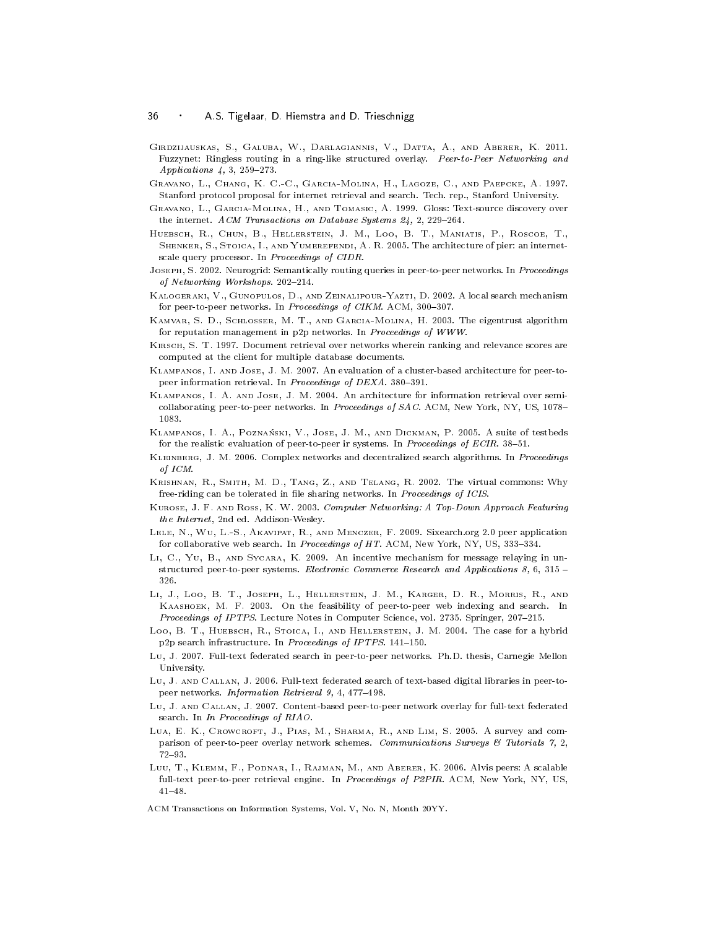- Girdzijauskas, S., Galuba, W., Darlagiannis, V., Datta, A., and Aberer, K. 2011. Fuzzynet: Ringless routing in a ring-like structured overlay. Peer-to-Peer Networking and Applications  $4, 3, 259-273$ .
- Gravano, L., Chang, K. C.-C., Garcia-Molina, H., Lagoze, C., and Paepcke, A. 1997. Stanford protocol proposal for internet retrieval and search. Tech. rep., Stanford University.
- Gravano, L., Garcia-Molina, H., and Tomasic, A. 1999. Gloss: Text-source discovery over the internet. ACM Transactions on Database Systems  $24, 2, 229-264$ .
- Huebsch, R., Chun, B., Hellerstein, J. M., Loo, B. T., Maniatis, P., Roscoe, T., SHENKER, S., STOICA, I., AND YUMEREFENDI, A. R. 2005. The architecture of pier: an internetscale query processor. In Proceedings of CIDR.
- Joseph, S. 2002. Neurogrid: Semantically routing queries in peer-to-peer networks. In Proceedings of Networking Workshops. 202-214.
- Kalogeraki, V., Gunopulos, D., and Zeinalipour-Yazti, D. 2002. A local search mechanism for peer-to-peer networks. In Proceedings of CIKM. ACM, 300-307.
- Kamvar, S. D., Schlosser, M. T., and Garcia-Molina, H. 2003. The eigentrust algorithm for reputation management in p2p networks. In Proceedings of WWW.
- Kirsch, S. T. 1997. Document retrieval over networks wherein ranking and relevance scores are computed at the client for multiple database documents.
- Klampanos, I. and Jose, J. M. 2007. An evaluation of a cluster-based architecture for peer-topeer information retrieval. In Proceedings of DEXA. 380-391.
- Klampanos, I. A. and Jose, J. M. 2004. An architecture for information retrieval over semicollaborating peer-to-peer networks. In Proceedings of SAC. ACM, New York, NY, US, 1078 1083.
- KLAMPANOS, I. A., POZNAŃSKI, V., JOSE, J. M., AND DICKMAN, P. 2005. A suite of testbeds for the realistic evaluation of peer-to-peer ir systems. In Proceedings of ECIR. 38-51.
- KLEINBERG, J. M. 2006. Complex networks and decentralized search algorithms. In Proceedings of ICM.
- Krishnan, R., Smith, M. D., Tang, Z., and Telang, R. 2002. The virtual commons: Why free-riding can be tolerated in file sharing networks. In Proceedings of ICIS.
- Kurose, J. F. and Ross, K. W. 2003. Computer Networking: A Top-Down Approach Featuring the Internet, 2nd ed. Addison-Wesley.
- Lele, N., Wu, L.-S., Akavipat, R., and Menczer, F. 2009. Sixearch.org 2.0 peer application for collaborative web search. In Proceedings of HT. ACM, New York, NY, US, 333-334.
- L<sub>I</sub>, C., Y<sub>U</sub>, B., AND Sycara, K. 2009. An incentive mechanism for message relaying in unstructured peer-to-peer systems. Electronic Commerce Research and Applications 8, 6, 315 -326.
- Li, J., Loo, B. T., Joseph, L., Hellerstein, J. M., Karger, D. R., Morris, R., and Kaashoek, M. F. 2003. On the feasibility of peer-to-peer web indexing and search. In Proceedings of IPTPS. Lecture Notes in Computer Science, vol. 2735. Springer, 207-215.
- Loo, B. T., HUEBSCH, R., STOICA, I., AND HELLERSTEIN, J. M. 2004. The case for a hybrid p2p search infrastructure. In Proceedings of IPTPS. 141-150.
- Lu, J. 2007. Full-text federated search in peer-to-peer networks. Ph.D. thesis, Carnegie Mellon University.
- Lu, J. and Callan, J. 2006. Full-text federated search of text-based digital libraries in peer-topeer networks. Information Retrieval 9, 4, 477-498.
- Lu, J. and Callan, J. 2007. Content-based peer-to-peer network overlay for full-text federated search. In In Proceedings of RIAO.
- Lua, E. K., Crowcroft, J., Pias, M., Sharma, R., and Lim, S. 2005. A survey and comparison of peer-to-peer overlay network schemes. Communications Surveys & Tutorials 7, 2, 7293.
- Luu, T., Klemm, F., Podnar, I., Rajman, M., and Aberer, K. 2006. Alvis peers: A scalable full-text peer-to-peer retrieval engine. In Proceedings of P2PIR. ACM, New York, NY, US,  $41 - 48.$
- ACM Transactions on Information Systems, Vol. V, No. N, Month 20YY.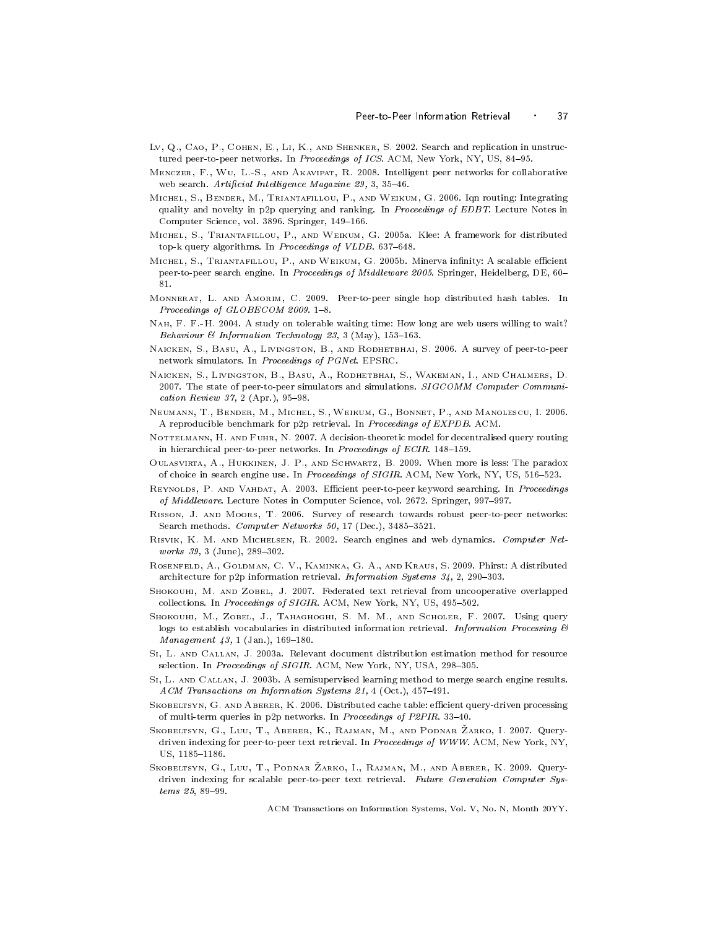- Lv, Q., CAO, P., COHEN, E., LI, K., AND SHENKER, S. 2002. Search and replication in unstructured peer-to-peer networks. In Proceedings of ICS. ACM, New York, NY, US, 84-95.
- Menczer, F., Wu, L.-S., and Akavipat, R. 2008. Intelligent peer networks for collaborative web search. Artificial Intelligence Magazine 29, 3, 35-46.
- Michel, S., Bender, M., Triantafillou, P., and Weikum, G. 2006. Iqn routing: Integrating quality and novelty in p2p querying and ranking. In Proceedings of EDBT. Lecture Notes in Computer Science, vol. 3896. Springer, 149-166.
- Michel, S., Triantafillou, P., and Weikum, G. 2005a. Klee: A framework for distributed top-k query algorithms. In Proceedings of VLDB. 637-648.
- MICHEL, S., TRIANTAFILLOU, P., AND WEIKUM, G. 2005b. Minerva infinity: A scalable efficient peer-to-peer search engine. In Proceedings of Middleware 2005. Springer, Heidelberg, DE, 60 81.
- Monnerat, L. and Amorim, C. 2009. Peer-to-peer single hop distributed hash tables. In  $Proceedings of GLOBECOM 2009. 1-8.$
- Nah, F. F.-H. 2004. A study on tolerable waiting time: How long are web users willing to wait? Behaviour & Information Technology 23, 3 (May), 153-163.
- Naicken, S., Basu, A., Livingston, B., and Rodhetbhai, S. 2006. A survey of peer-to-peer network simulators. In Proceedings of PGNet. EPSRC.
- Naicken, S., Livingston, B., Basu, A., Rodhetbhai, S., Wakeman, I., and Chalmers, D. 2007. The state of peer-to-peer simulators and simulations. SIGCOMM Computer Communication Review 37, 2 (Apr.), 95-98.
- Neumann, T., Bender, M., Michel, S., Weikum, G., Bonnet, P., and Manolescu, I. 2006. A reproducible benchmark for p2p retrieval. In Proceedings of EXPDB. ACM.
- NOTTELMANN, H. AND FUHR, N. 2007. A decision-theoretic model for decentralised query routing in hierarchical peer-to-peer networks. In Proceedings of  $ECIR$ . 148-159.
- Oulasvirta, A., Hukkinen, J. P., and Schwartz, B. 2009. When more is less: The paradox of choice in search engine use. In Proceedings of SIGIR. ACM, New York, NY, US, 516-523.
- REYNOLDS, P. AND VAHDAT, A. 2003. Efficient peer-to-peer keyword searching. In Proceedings of Middleware. Lecture Notes in Computer Science, vol. 2672. Springer, 997-997.
- Risson, J. and Moors, T. 2006. Survey of research towards robust peer-to-peer networks: Search methods. Computer Networks 50, 17 (Dec.), 3485-3521.
- Risvik, K. M. and Michelsen, R. 2002. Search engines and web dynamics. Computer Net $works 39, 3 (June), 289-302.$
- Rosenfeld, A., Goldman, C. V., Kaminka, G. A., and Kraus, S. 2009. Phirst: A distributed architecture for p2p information retrieval. Information Systems  $34$ , 2, 290-303.
- Shokouhi, M. and Zobel, J. 2007. Federated text retrieval from uncooperative overlapped collections. In Proceedings of SIGIR. ACM, New York, NY, US,  $495-502$ .
- Shokouhi, M., Zobel, J., Tahaghoghi, S. M. M., and Scholer, F. 2007. Using query logs to establish vocabularies in distributed information retrieval. Information Processing  $\mathcal{B}$ Management  $43, 1$  (Jan.), 169-180.
- Si, L. and Callan, J. 2003a. Relevant document distribution estimation method for resource selection. In Proceedings of SIGIR. ACM, New York, NY, USA, 298-305.
- Si, L. and Callan, J. 2003b. A semisupervised learning method to merge search engine results.  $ACM$  Transactions on Information Systems 21, 4 (Oct.), 457-491.
- SKOBELTSYN, G. AND ABERER, K. 2006. Distributed cache table: efficient query-driven processing of multi-term queries in p2p networks. In Proceedings of P2PIR. 33-40.
- SKOBELTSYN, G., LUU, T., ABERER, K., RAJMAN, M., AND PODNAR ZARKO, I. 2007. Querydriven indexing for peer-to-peer text retrieval. In Proceedings of WWW. ACM, New York, NY, US, 1185-1186.
- SKOBELTSYN, G., LUU, T., PODNAR ŽARKO, I., RAJMAN, M., AND ABERER, K. 2009. Querydriven indexing for scalable peer-to-peer text retrieval. Future Generation Computer Sys $tems 25, 89-99.$